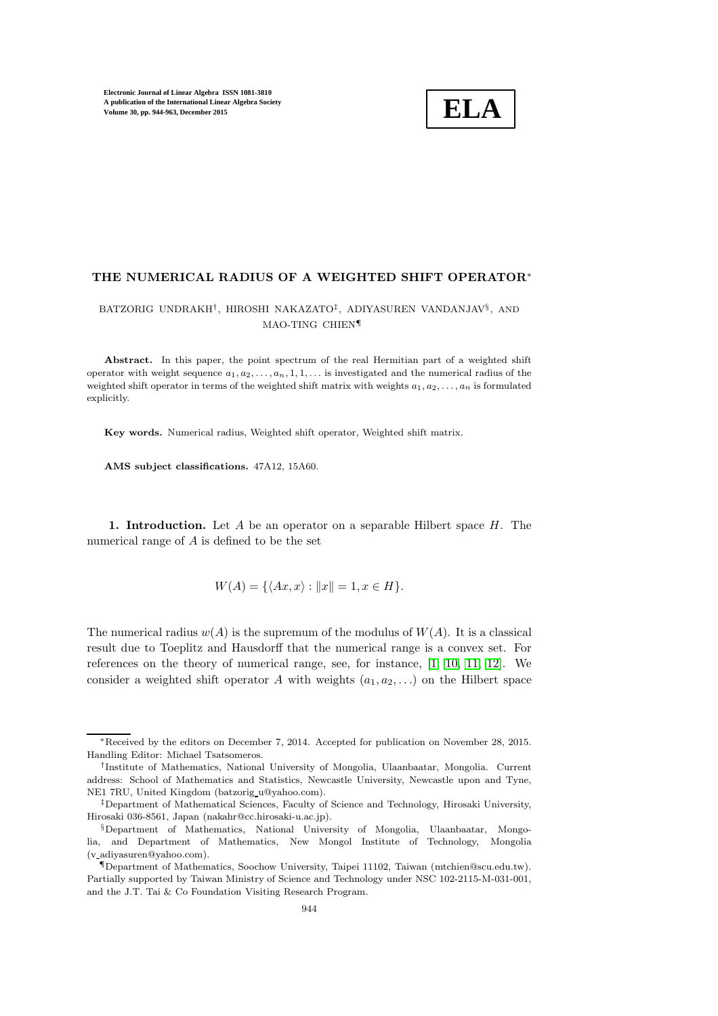

## THE NUMERICAL RADIUS OF A WEIGHTED SHIFT OPERATOR<sup>∗</sup>

# BATZORIG UNDRAKH† , HIROSHI NAKAZATO‡ , ADIYASUREN VANDANJAV§ , AND MAO-TING CHIEN¶

Abstract. In this paper, the point spectrum of the real Hermitian part of a weighted shift operator with weight sequence  $a_1, a_2, \ldots, a_n, 1, 1, \ldots$  is investigated and the numerical radius of the weighted shift operator in terms of the weighted shift matrix with weights  $a_1, a_2, \ldots, a_n$  is formulated explicitly.

Key words. Numerical radius, Weighted shift operator, Weighted shift matrix.

AMS subject classifications. 47A12, 15A60.

1. Introduction. Let A be an operator on a separable Hilbert space  $H$ . The numerical range of A is defined to be the set

$$
W(A) = \{ \langle Ax, x \rangle : ||x|| = 1, x \in H \}.
$$

The numerical radius  $w(A)$  is the supremum of the modulus of  $W(A)$ . It is a classical result due to Toeplitz and Hausdorff that the numerical range is a convex set. For references on the theory of numerical range, see, for instance, [\[1,](#page-18-0) [10,](#page-18-1) [11,](#page-18-2) [12\]](#page-18-3). We consider a weighted shift operator A with weights  $(a_1, a_2, \ldots)$  on the Hilbert space

<sup>∗</sup>Received by the editors on December 7, 2014. Accepted for publication on November 28, 2015. Handling Editor: Michael Tsatsomeros.

<sup>†</sup> Institute of Mathematics, National University of Mongolia, Ulaanbaatar, Mongolia. Current address: School of Mathematics and Statistics, Newcastle University, Newcastle upon and Tyne, NE1 7RU, United Kingdom (batzorig u@yahoo.com).

<sup>‡</sup>Department of Mathematical Sciences, Faculty of Science and Technology, Hirosaki University, Hirosaki 036-8561, Japan (nakahr@cc.hirosaki-u.ac.jp).

<sup>§</sup>Department of Mathematics, National University of Mongolia, Ulaanbaatar, Mongolia, and Department of Mathematics, New Mongol Institute of Technology, Mongolia (v adiyasuren@yahoo.com).

<sup>¶</sup>Department of Mathematics, Soochow University, Taipei 11102, Taiwan (mtchien@scu.edu.tw). Partially supported by Taiwan Ministry of Science and Technology under NSC 102-2115-M-031-001, and the J.T. Tai & Co Foundation Visiting Research Program.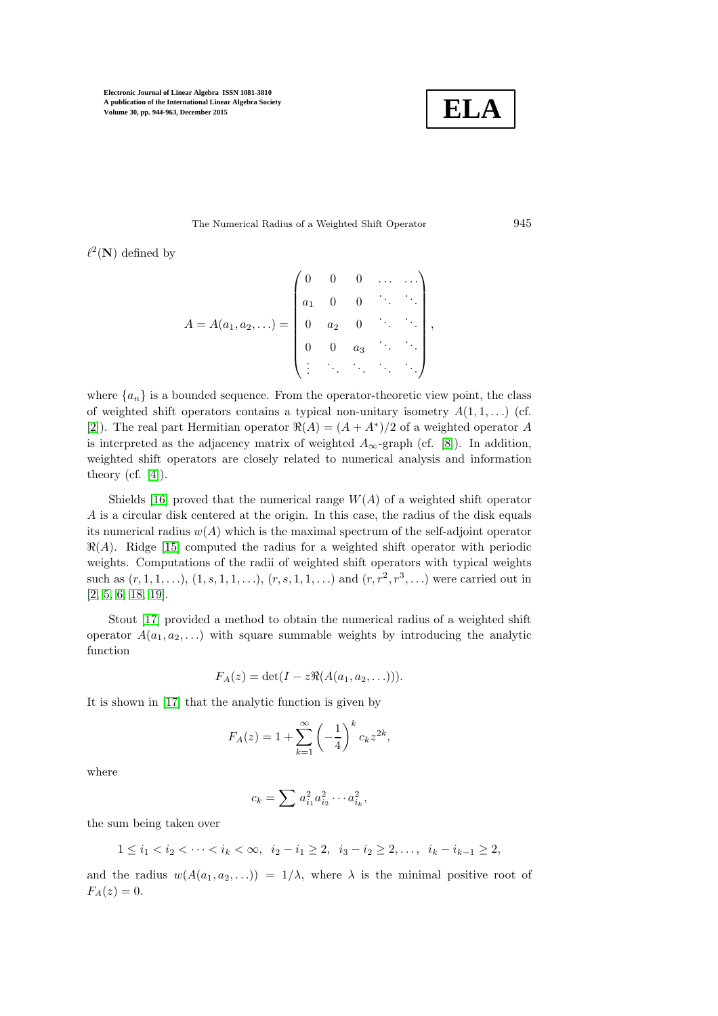

#### The Numerical Radius of a Weighted Shift Operator 945

 $\ell^2(\mathbf{N})$  defined by

$$
A = A(a_1, a_2, \ldots) = \begin{pmatrix} 0 & 0 & 0 & \ldots & \ldots \\ a_1 & 0 & 0 & \ddots & \ddots \\ 0 & a_2 & 0 & \ddots & \ddots \\ 0 & 0 & a_3 & \ddots & \ddots \\ \vdots & \vdots & \ddots & \ddots & \ddots & \ddots \end{pmatrix},
$$

where  ${a_n}$  is a bounded sequence. From the operator-theoretic view point, the class of weighted shift operators contains a typical non-unitary isometry  $A(1,1,\ldots)$  (cf. [\[2\]](#page-18-4)). The real part Hermitian operator  $\Re(A) = (A + A^*)/2$  of a weighted operator A is interpreted as the adjacency matrix of weighted  $A_{\infty}$ -graph (cf. [\[8\]](#page-18-5)). In addition, weighted shift operators are closely related to numerical analysis and information theory (cf.  $[4]$ ).

Shields [\[16\]](#page-18-7) proved that the numerical range  $W(A)$  of a weighted shift operator A is a circular disk centered at the origin. In this case, the radius of the disk equals its numerical radius  $w(A)$  which is the maximal spectrum of the self-adjoint operator  $\Re(A)$ . Ridge [\[15\]](#page-18-8) computed the radius for a weighted shift operator with periodic weights. Computations of the radii of weighted shift operators with typical weights such as  $(r, 1, 1, \ldots), (1, s, 1, 1, \ldots), (r, s, 1, 1, \ldots)$  and  $(r, r^2, r^3, \ldots)$  were carried out in [\[2,](#page-18-4) [5,](#page-18-9) [6,](#page-18-10) [18,](#page-19-0) [19\]](#page-19-1).

Stout [\[17\]](#page-18-11) provided a method to obtain the numerical radius of a weighted shift operator  $A(a_1, a_2, \ldots)$  with square summable weights by introducing the analytic function

$$
F_A(z) = \det(I - z \Re(A(a_1, a_2, \ldots))).
$$

It is shown in [\[17\]](#page-18-11) that the analytic function is given by

$$
F_A(z) = 1 + \sum_{k=1}^{\infty} \left(-\frac{1}{4}\right)^k c_k z^{2k},
$$

where

$$
c_k = \sum a_{i_1}^2 a_{i_2}^2 \cdots a_{i_k}^2,
$$

the sum being taken over

$$
1 \leq i_1 < i_2 < \cdots < i_k < \infty, \ \ i_2 - i_1 \geq 2, \ \ i_3 - i_2 \geq 2, \ldots, \ \ i_k - i_{k-1} \geq 2,
$$

and the radius  $w(A(a_1, a_2, \ldots)) = 1/\lambda$ , where  $\lambda$  is the minimal positive root of  $F_A(z) = 0.$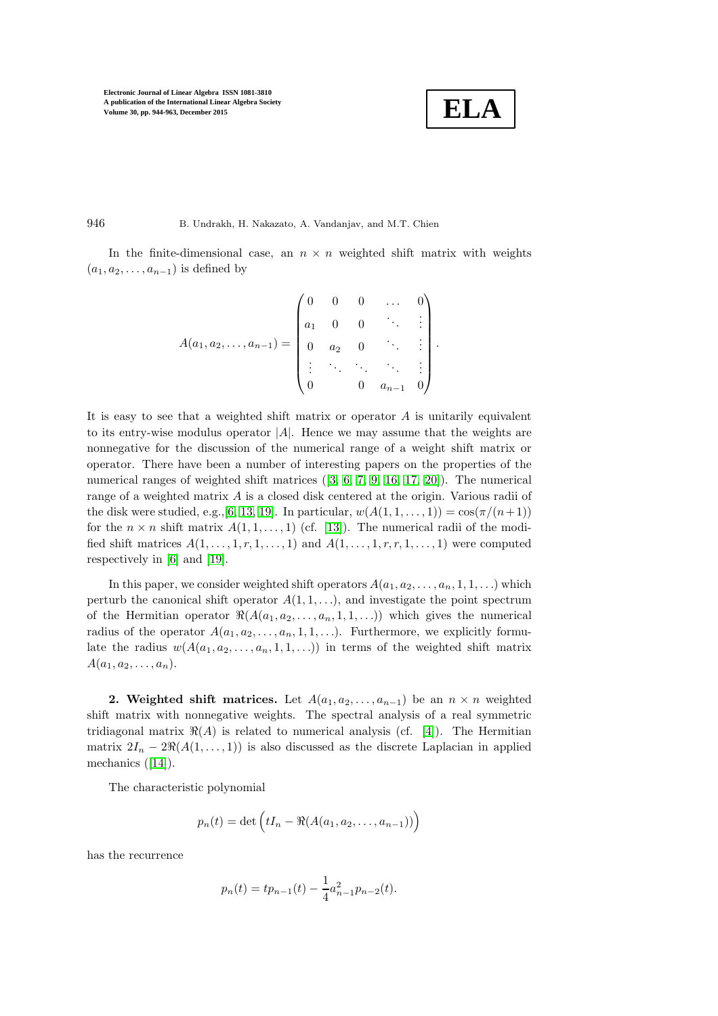$$
\boxed{\textbf{ELA}}
$$

946 B. Undrakh, H. Nakazato, A. Vandanjav, and M.T. Chien

In the finite-dimensional case, an  $n \times n$  weighted shift matrix with weights  $(a_1, a_2, \ldots, a_{n-1})$  is defined by

$$
A(a_1, a_2, \ldots, a_{n-1}) = \begin{pmatrix} 0 & 0 & 0 & \ldots & 0 \\ a_1 & 0 & 0 & \ddots & \vdots \\ 0 & a_2 & 0 & \ddots & \vdots \\ \vdots & \ddots & \ddots & \ddots & \vdots \\ 0 & 0 & a_{n-1} & 0 \end{pmatrix}.
$$

It is easy to see that a weighted shift matrix or operator  $A$  is unitarily equivalent to its entry-wise modulus operator  $|A|$ . Hence we may assume that the weights are nonnegative for the discussion of the numerical range of a weight shift matrix or operator. There have been a number of interesting papers on the properties of the numerical ranges of weighted shift matrices ([\[3,](#page-18-12) [6,](#page-18-10) [7,](#page-18-13) [9,](#page-18-14) [16,](#page-18-7) [17,](#page-18-11) [20\]](#page-19-2)). The numerical range of a weighted matrix A is a closed disk centered at the origin. Various radii of the disk were studied, e.g., [\[6,](#page-18-10) [13,](#page-18-15) [19\]](#page-19-1). In particular,  $w(A(1,1,\ldots,1)) = \cos(\pi/(n+1))$ for the  $n \times n$  shift matrix  $A(1, 1, \ldots, 1)$  (cf. [\[13\]](#page-18-15)). The numerical radii of the modified shift matrices  $A(1, \ldots, 1, r, 1, \ldots, 1)$  and  $A(1, \ldots, 1, r, r, 1, \ldots, 1)$  were computed respectively in [\[6\]](#page-18-10) and [\[19\]](#page-19-1).

In this paper, we consider weighted shift operators  $A(a_1, a_2, \ldots, a_n, 1, 1, \ldots)$  which perturb the canonical shift operator  $A(1, 1, \ldots)$ , and investigate the point spectrum of the Hermitian operator  $\Re(A(a_1, a_2, \ldots, a_n, 1, 1, \ldots))$  which gives the numerical radius of the operator  $A(a_1, a_2, \ldots, a_n, 1, 1, \ldots)$ . Furthermore, we explicitly formulate the radius  $w(A(a_1, a_2, \ldots, a_n, 1, 1, \ldots))$  in terms of the weighted shift matrix  $A(a_1, a_2, \ldots, a_n).$ 

2. Weighted shift matrices. Let  $A(a_1, a_2, \ldots, a_{n-1})$  be an  $n \times n$  weighted shift matrix with nonnegative weights. The spectral analysis of a real symmetric tridiagonal matrix  $\Re(A)$  is related to numerical analysis (cf. [\[4\]](#page-18-6)). The Hermitian matrix  $2I_n - 2\Re(A(1, \ldots, 1))$  is also discussed as the discrete Laplacian in applied mechanics ([\[14\]](#page-18-16)).

The characteristic polynomial

$$
p_n(t) = \det \left( tI_n - \Re(A(a_1, a_2, \dots, a_{n-1})) \right)
$$

has the recurrence

$$
p_n(t) = tp_{n-1}(t) - \frac{1}{4}a_{n-1}^2 p_{n-2}(t).
$$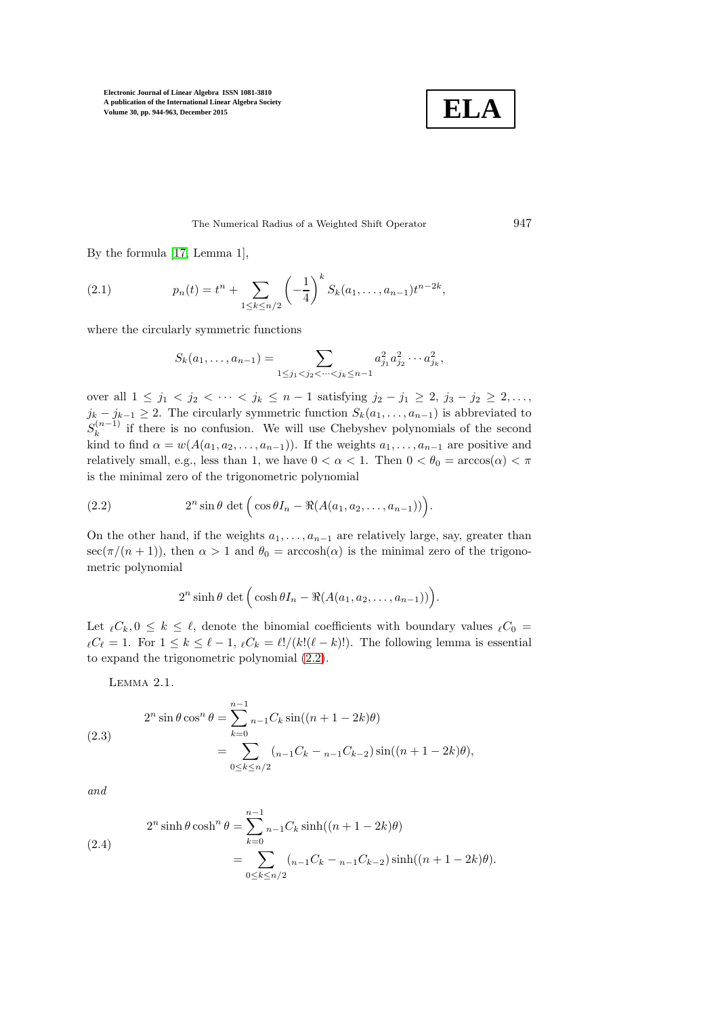

<span id="page-3-4"></span>The Numerical Radius of a Weighted Shift Operator 947

By the formula [\[17,](#page-18-11) Lemma 1],

(2.1) 
$$
p_n(t) = t^n + \sum_{1 \le k \le n/2} \left(-\frac{1}{4}\right)^k S_k(a_1, \dots, a_{n-1}) t^{n-2k},
$$

where the circularly symmetric functions

$$
S_k(a_1,\ldots,a_{n-1})=\sum_{1\leq j_1
$$

over all  $1 \le j_1 < j_2 < \cdots < j_k \le n-1$  satisfying  $j_2 - j_1 \ge 2, j_3 - j_2 \ge 2, \ldots$ ,  $j_k - j_{k-1} \geq 2$ . The circularly symmetric function  $S_k(a_1, \ldots, a_{n-1})$  is abbreviated to  $S_k^{(n-1)}$  $\binom{n-1}{k}$  if there is no confusion. We will use Chebyshev polynomials of the second kind to find  $\alpha = w(A(a_1, a_2, \ldots, a_{n-1}))$ . If the weights  $a_1, \ldots, a_{n-1}$  are positive and relatively small, e.g., less than 1, we have  $0 < \alpha < 1$ . Then  $0 < \theta_0 = \arccos(\alpha) < \pi$ is the minimal zero of the trigonometric polynomial

(2.2) 
$$
2^{n} \sin \theta \det \Big( \cos \theta I_{n} - \Re(A(a_{1}, a_{2}, \ldots, a_{n-1})) \Big).
$$

On the other hand, if the weights  $a_1, \ldots, a_{n-1}$  are relatively large, say, greater than  $\sec(\pi/(n+1))$ , then  $\alpha > 1$  and  $\theta_0 = \arccosh(\alpha)$  is the minimal zero of the trigonometric polynomial

<span id="page-3-0"></span>
$$
2^{n}\sinh \theta \det \Big(\cosh \theta I_{n}-\Re(A(a_1,a_2,\ldots,a_{n-1}))\Big).
$$

Let  $\ell C_k, 0 \leq k \leq \ell$ , denote the binomial coefficients with boundary values  $\ell C_0$  $\ell C_{\ell} = 1$ . For  $1 \leq k \leq \ell - 1$ ,  $\ell C_k = \ell! / (k! (\ell - k)!)$ . The following lemma is essential to expand the trigonometric polynomial [\(2.2\)](#page-3-0).

<span id="page-3-3"></span>Lemma 2.1.

<span id="page-3-1"></span>(2.3)  
\n
$$
2^{n} \sin \theta \cos^{n} \theta = \sum_{k=0}^{n-1} {}_{n-1}C_{k} \sin((n+1-2k)\theta)
$$
\n
$$
= \sum_{0 \le k \le n/2} ({}_{n-1}C_{k} - {}_{n-1}C_{k-2}) \sin((n+1-2k)\theta),
$$

and

<span id="page-3-2"></span>(2.4)  
\n
$$
2^{n} \sinh \theta \cosh^{n} \theta = \sum_{k=0}^{n-1} {}_{n-1}C_{k} \sinh((n+1-2k)\theta)
$$
\n
$$
= \sum_{0 \le k \le n/2} ({}_{n-1}C_{k} - {}_{n-1}C_{k-2}) \sinh((n+1-2k)\theta).
$$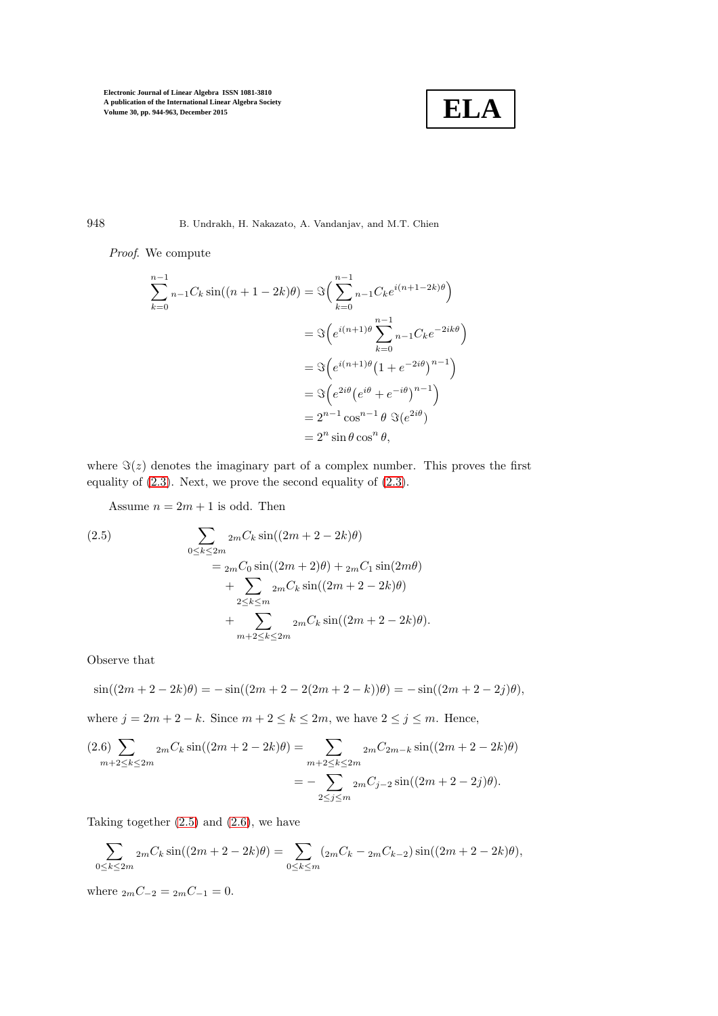

948 B. Undrakh, H. Nakazato, A. Vandanjav, and M.T. Chien

Proof. We compute

$$
\sum_{k=0}^{n-1} n_{-1}C_k \sin((n+1-2k)\theta) = \Im\left(\sum_{k=0}^{n-1} n_{-1}C_k e^{i(n+1-2k)\theta}\right)
$$

$$
= \Im\left(e^{i(n+1)\theta}\sum_{k=0}^{n-1} n_{-1}C_k e^{-2ik\theta}\right)
$$

$$
= \Im\left(e^{i(n+1)\theta}\left(1+e^{-2i\theta}\right)^{n-1}\right)
$$

$$
= \Im\left(e^{2i\theta}\left(e^{i\theta}+e^{-i\theta}\right)^{n-1}\right)
$$

$$
= 2^{n-1}\cos^{n-1}\theta \Im(e^{2i\theta})
$$

$$
= 2^n \sin\theta \cos^n \theta,
$$

where  $\Im(z)$  denotes the imaginary part of a complex number. This proves the first equality of [\(2.3\)](#page-3-1). Next, we prove the second equality of [\(2.3\)](#page-3-1).

<span id="page-4-0"></span>Assume  $n = 2m + 1$  is odd. Then

(2.5)  
\n
$$
\sum_{0 \le k \le 2m} 2m C_k \sin((2m + 2 - 2k)\theta)
$$
\n
$$
= 2m C_0 \sin((2m + 2)\theta) + 2m C_1 \sin(2m\theta)
$$
\n
$$
+ \sum_{2 \le k \le m} 2m C_k \sin((2m + 2 - 2k)\theta)
$$
\n
$$
+ \sum_{m+2 \le k \le 2m} 2m C_k \sin((2m + 2 - 2k)\theta).
$$

Observe that

$$
\sin((2m+2-2k)\theta) = -\sin((2m+2-2(2m+2-k))\theta) = -\sin((2m+2-2j)\theta),
$$

where  $j = 2m + 2 - k$ . Since  $m + 2 \le k \le 2m$ , we have  $2 \le j \le m$ . Hence,

<span id="page-4-1"></span>
$$
(2.6)\sum_{m+2\leq k\leq 2m} 2mC_k \sin((2m+2-2k)\theta) = \sum_{\substack{m+2\leq k\leq 2m\\2\leq j\leq m}} 2mC_{2m-k} \sin((2m+2-2k)\theta) = -\sum_{\substack{2\leq j\leq m\\2\leq j\leq m}} 2mC_{j-2} \sin((2m+2-2j)\theta).
$$

Taking together  $(2.5)$  and  $(2.6)$ , we have

$$
\sum_{0 \le k \le 2m} 2m C_k \sin((2m + 2 - 2k)\theta) = \sum_{0 \le k \le m} (2m C_k - 2m C_{k-2}) \sin((2m + 2 - 2k)\theta),
$$

where  $_{2m}C_{-2} = _{2m}C_{-1} = 0$ .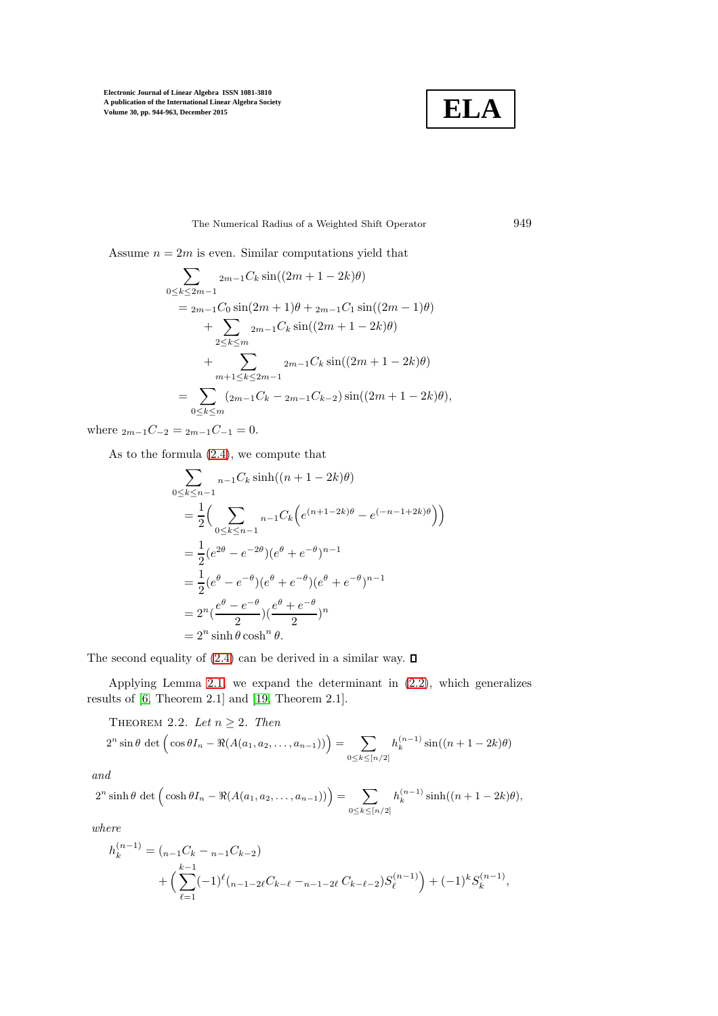

The Numerical Radius of a Weighted Shift Operator 949

Assume  $n = 2m$  is even. Similar computations yield that

$$
\sum_{0 \le k \le 2m-1} 2_{m-1} C_k \sin((2m+1-2k)\theta)
$$
  
=  $2_{m-1} C_0 \sin(2m+1)\theta + 2_{m-1} C_1 \sin((2m-1)\theta)$   
+  $\sum_{2 \le k \le m} 2_{m-1} C_k \sin((2m+1-2k)\theta)$   
+  $\sum_{m+1 \le k \le 2m-1} 2_{m-1} C_k \sin((2m+1-2k)\theta)$   
=  $\sum_{0 \le k \le m} (2_{m-1} C_k - 2_{m-1} C_{k-2}) \sin((2m+1-2k)\theta),$ 

where  $_{2m-1}C_{-2} = _{2m-1}C_{-1} = 0.$ 

As to the formula [\(2.4\)](#page-3-2), we compute that

$$
\sum_{0 \le k \le n-1} n-1C_k \sinh((n+1-2k)\theta)
$$
  
=  $\frac{1}{2} \Biggl( \sum_{0 \le k \le n-1} n-1C_k \Bigl( e^{(n+1-2k)\theta} - e^{(-n-1+2k)\theta} \Bigr) \Biggr)$   
=  $\frac{1}{2} (e^{2\theta} - e^{-2\theta}) (e^{\theta} + e^{-\theta})^{n-1}$   
=  $\frac{1}{2} (e^{\theta} - e^{-\theta}) (e^{\theta} + e^{-\theta}) (e^{\theta} + e^{-\theta})^{n-1}$   
=  $2^n (e^{\theta} - e^{-\theta}) (e^{\theta} + e^{-\theta})^n$   
=  $2^n \sinh \theta \cosh^n \theta$ .

The second equality of [\(2.4\)](#page-3-2) can be derived in a similar way.  $\square$ 

<span id="page-5-0"></span>Applying Lemma [2.1,](#page-3-3) we expand the determinant in [\(2.2\)](#page-3-0), which generalizes results of [\[6,](#page-18-10) Theorem 2.1] and [\[19,](#page-19-1) Theorem 2.1].

THEOREM 2.2. Let  $n \geq 2$ . Then

$$
2^{n} \sin \theta \, \det \left( \cos \theta I_{n} - \Re(A(a_{1}, a_{2}, \ldots, a_{n-1})) \right) = \sum_{0 \le k \le [n/2]} h_{k}^{(n-1)} \sin((n+1-2k)\theta)
$$

and

$$
2^{n} \sinh \theta \, \det \Big( \cosh \theta I_{n} - \Re (A(a_{1}, a_{2}, \ldots, a_{n-1})) \Big) = \sum_{0 \leq k \leq [n/2]} h_{k}^{(n-1)} \sinh((n+1-2k)\theta),
$$

where

$$
h_k^{(n-1)} = ({}_{n-1}C_k - {}_{n-1}C_{k-2})
$$
  
+ 
$$
\left(\sum_{\ell=1}^{k-1} (-1)^{\ell} ({}_{n-1-2\ell}C_{k-\ell} - {}_{n-1-2\ell}C_{k-\ell-2})S_{\ell}^{(n-1)}\right) + (-1)^k S_k^{(n-1)},
$$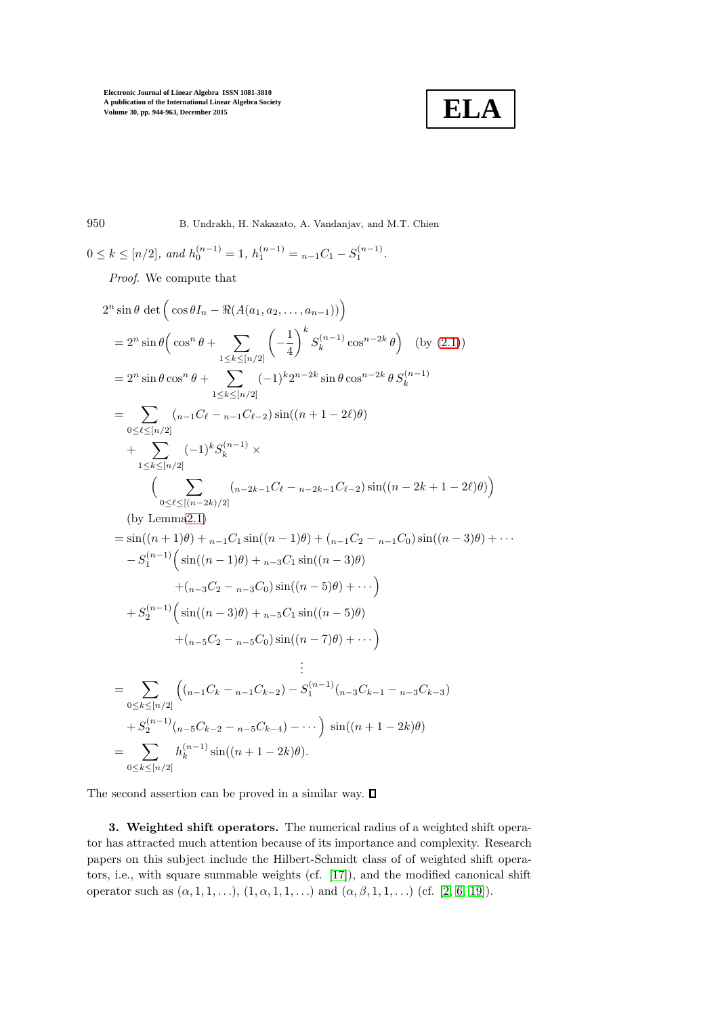

950 B. Undrakh, H. Nakazato, A. Vandanjav, and M.T. Chien

$$
0 \leq k \leq [n/2], and h_0^{(n-1)} = 1, h_1^{(n-1)} = {}_{n-1}C_1 - S_1^{(n-1)}.
$$
  
\n*Proof.* We compute that  
\n
$$
2^n \sin \theta \det \left( \cos \theta I_n - \Re(A(a_1, a_2, ..., a_{n-1})) \right)
$$
\n
$$
= 2^n \sin \theta \left( \cos^n \theta + \sum_{1 \leq k \leq [n/2]} \left( -\frac{1}{4} \right)^k S_k^{(n-1)} \cos^{n-2k} \theta \right) \text{ (by (2.1))}
$$
\n
$$
= 2^n \sin \theta \cos^n \theta + \sum_{1 \leq k \leq [n/2]} (-1)^k 2^{n-2k} \sin \theta \cos^{n-2k} \theta S_k^{(n-1)}
$$
\n
$$
= \sum_{0 \leq \ell \leq [n/2]} (n-1) \left( e - n - 1C_{\ell-2} \right) \sin((n+1-2\ell)\theta)
$$
\n
$$
+ \sum_{1 \leq k \leq [n/2]} (-1)^k S_k^{(n-1)} \times \left( \sum_{0 \leq \ell \leq [(n-2k)/2]} (n-2k-1) \ell e - n - 2k-1 \ell e - 2 \right) \sin((n-2k+1-2\ell)\theta) \right)
$$
\n
$$
\text{(by Lemma2.1)}
$$
\n
$$
= \sin((n+1)\theta) + n - 1 \sin((n-1)\theta) + (n-1) \ell e - n - 1 \ell e - 2 \sin((n-3)\theta) + \cdots
$$
\n
$$
- S_1^{(n-1)} \left( \sin((n-1)\theta) + n - 3 \alpha \sin((n-3)\theta) + \cdots \right)
$$
\n
$$
+ S_2^{(n-1)} \left( \sin((n-3)\theta) + n - 5 \alpha \sin((n-5)\theta) + \cdots \right)
$$
\n
$$
+ S_2^{(n-1)} \left( \sin((n-3)\theta) + n - 5 \alpha \sin((n-5)\theta) + \cdots \right)
$$
\n
$$
= \sum_{0 \leq k \leq [n/2]} ((n-1) \ell k - n - 1) \left( e - e - e - e - e - e - e - e
$$

The second assertion can be proved in a similar way.  $\Box$ 

 $0 \leq k \leq [n/2]$ 

3. Weighted shift operators. The numerical radius of a weighted shift operator has attracted much attention because of its importance and complexity. Research papers on this subject include the Hilbert-Schmidt class of of weighted shift operators, i.e., with square summable weights (cf. [\[17\]](#page-18-11)), and the modified canonical shift operator such as  $(\alpha, 1, 1, \ldots), (1, \alpha, 1, 1, \ldots)$  and  $(\alpha, \beta, 1, 1, \ldots)$  (cf. [\[2,](#page-18-4) [6,](#page-18-10) [19\]](#page-19-1)).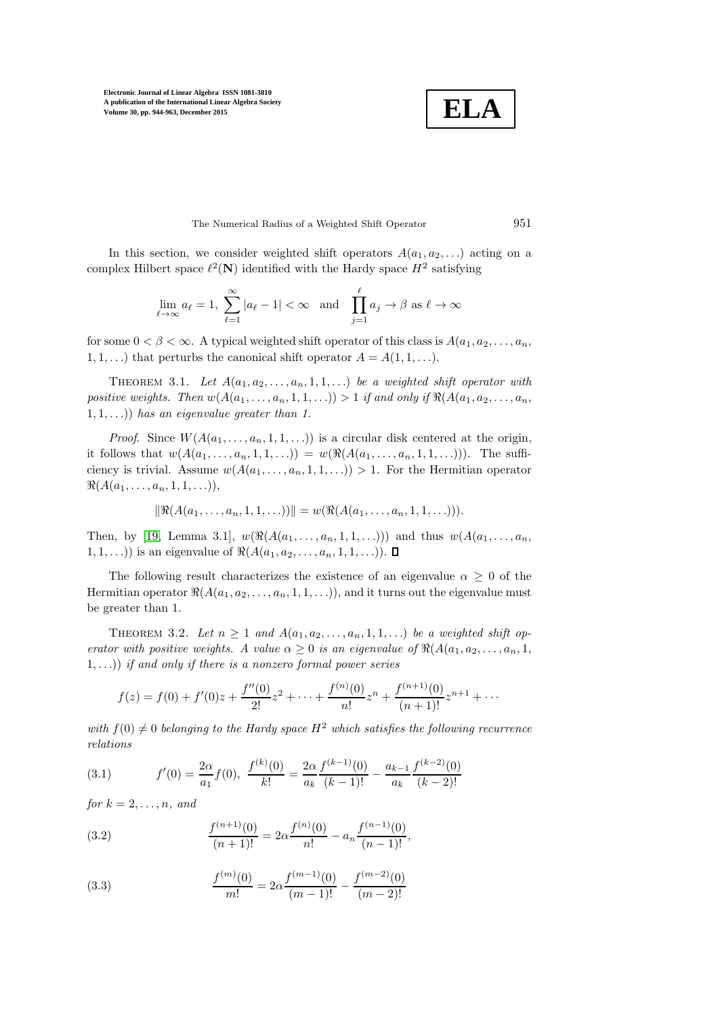**ELA**

The Numerical Radius of a Weighted Shift Operator 951

In this section, we consider weighted shift operators  $A(a_1, a_2, \ldots)$  acting on a complex Hilbert space  $\ell^2(\mathbf{N})$  identified with the Hardy space  $H^2$  satisfying

$$
\lim_{\ell \to \infty} a_{\ell} = 1, \sum_{\ell=1}^{\infty} |a_{\ell} - 1| < \infty \quad \text{and} \quad \prod_{j=1}^{\ell} a_j \to \beta \text{ as } \ell \to \infty
$$

for some  $0 < \beta < \infty$ . A typical weighted shift operator of this class is  $A(a_1, a_2, \ldots, a_n)$ . 1, 1, ...) that perturbs the canonical shift operator  $A = A(1, 1, \ldots)$ .

THEOREM 3.1. Let  $A(a_1, a_2, \ldots, a_n, 1, 1, \ldots)$  be a weighted shift operator with positive weights. Then  $w(A(a_1, \ldots, a_n, 1, 1, \ldots)) > 1$  if and only if  $\Re(A(a_1, a_2, \ldots, a_n,$  $(1, 1, \ldots))$  has an eigenvalue greater than 1.

*Proof.* Since  $W(A(a_1, \ldots, a_n, 1, 1, \ldots))$  is a circular disk centered at the origin, it follows that  $w(A(a_1, ..., a_n, 1, 1, ...) ) = w(\Re(A(a_1, ..., a_n, 1, 1, ...))).$  The sufficiency is trivial. Assume  $w(A(a_1, \ldots, a_n, 1, 1, \ldots)) > 1$ . For the Hermitian operator  $\Re(A(a_1, \ldots, a_n, 1, 1, \ldots)),$ 

$$
\|\Re(A(a_1,\ldots,a_n,1,1,\ldots))\| = w(\Re(A(a_1,\ldots,a_n,1,1,\ldots))).
$$

Then, by [\[19,](#page-19-1) Lemma 3.1],  $w(\Re(A(a_1, \ldots, a_n, 1, 1, \ldots)))$  and thus  $w(A(a_1, \ldots, a_n,$ 1, 1, ...)) is an eigenvalue of  $\Re(A(a_1, a_2, \ldots, a_n, 1, 1, \ldots)).$   $\Box$ 

The following result characterizes the existence of an eigenvalue  $\alpha \geq 0$  of the Hermitian operator  $\Re(A(a_1, a_2, \ldots, a_n, 1, 1, \ldots))$ , and it turns out the eigenvalue must be greater than 1.

THEOREM 3.2. Let  $n \geq 1$  and  $A(a_1, a_2, \ldots, a_n, 1, 1, \ldots)$  be a weighted shift operator with positive weights. A value  $\alpha \geq 0$  is an eigenvalue of  $\Re(A(a_1, a_2, \ldots, a_n, 1,$  $(1, \ldots)$  if and only if there is a nonzero formal power series

$$
f(z) = f(0) + f'(0)z + \frac{f''(0)}{2!}z^2 + \dots + \frac{f^{(n)}(0)}{n!}z^n + \frac{f^{(n+1)}(0)}{(n+1)!}z^{n+1} + \dots
$$

with  $f(0) \neq 0$  belonging to the Hardy space  $H^2$  which satisfies the following recurrence relations

<span id="page-7-0"></span>(3.1) 
$$
f'(0) = \frac{2\alpha}{a_1} f(0), \quad \frac{f^{(k)}(0)}{k!} = \frac{2\alpha}{a_k} \frac{f^{(k-1)}(0)}{(k-1)!} - \frac{a_{k-1}}{a_k} \frac{f^{(k-2)}(0)}{(k-2)!}
$$

for  $k = 2, \ldots, n$ , and

<span id="page-7-1"></span>(3.2) 
$$
\frac{f^{(n+1)}(0)}{(n+1)!} = 2\alpha \frac{f^{(n)}(0)}{n!} - a_n \frac{f^{(n-1)}(0)}{(n-1)!},
$$

<span id="page-7-2"></span>(3.3) 
$$
\frac{f^{(m)}(0)}{m!} = 2\alpha \frac{f^{(m-1)}(0)}{(m-1)!} - \frac{f^{(m-2)}(0)}{(m-2)!}
$$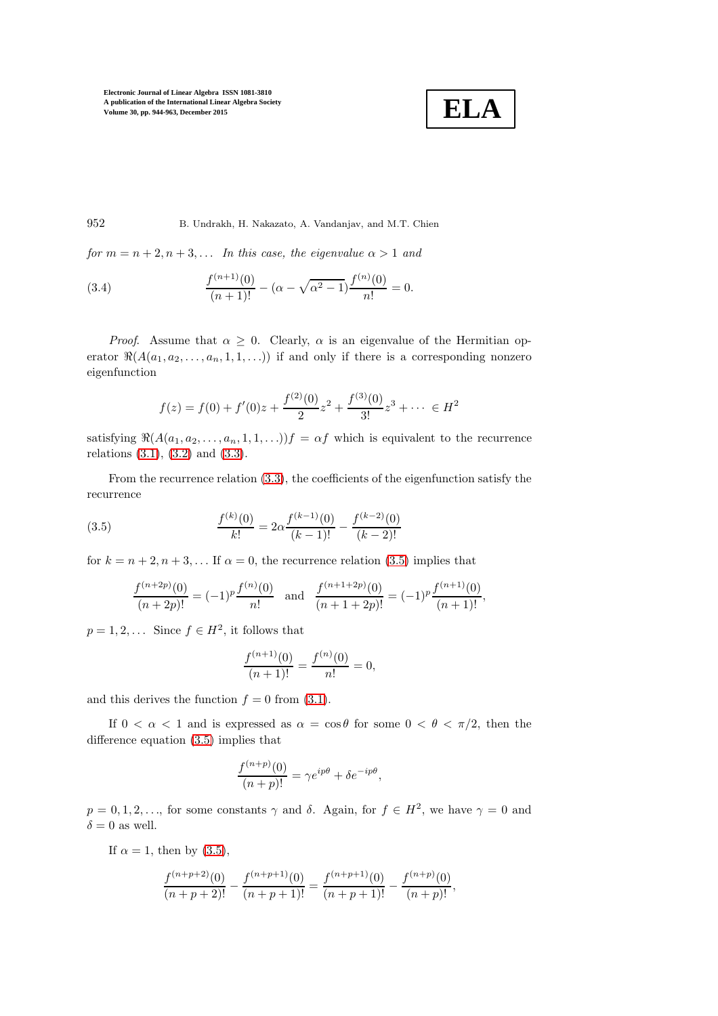

952 B. Undrakh, H. Nakazato, A. Vandanjav, and M.T. Chien

for  $m = n + 2, n + 3, \ldots$  In this case, the eigenvalue  $\alpha > 1$  and

<span id="page-8-1"></span>(3.4) 
$$
\frac{f^{(n+1)}(0)}{(n+1)!} - (\alpha - \sqrt{\alpha^2 - 1}) \frac{f^{(n)}(0)}{n!} = 0.
$$

*Proof.* Assume that  $\alpha \geq 0$ . Clearly,  $\alpha$  is an eigenvalue of the Hermitian operator  $\Re(A(a_1, a_2, \ldots, a_n, 1, 1, \ldots))$  if and only if there is a corresponding nonzero eigenfunction

$$
f(z) = f(0) + f'(0)z + \frac{f^{(2)}(0)}{2}z^{2} + \frac{f^{(3)}(0)}{3!}z^{3} + \dots \in H^{2}
$$

satisfying  $\Re(A(a_1, a_2, \ldots, a_n, 1, 1, \ldots))f = \alpha f$  which is equivalent to the recurrence relations [\(3.1\)](#page-7-0), [\(3.2\)](#page-7-1) and [\(3.3\)](#page-7-2).

From the recurrence relation [\(3.3\)](#page-7-2), the coefficients of the eigenfunction satisfy the recurrence

(3.5) 
$$
\frac{f^{(k)}(0)}{k!} = 2\alpha \frac{f^{(k-1)}(0)}{(k-1)!} - \frac{f^{(k-2)}(0)}{(k-2)!}
$$

for  $k = n + 2, n + 3, \dots$  If  $\alpha = 0$ , the recurrence relation [\(3.5\)](#page-8-0) implies that

<span id="page-8-0"></span>
$$
\frac{f^{(n+2p)}(0)}{(n+2p)!} = (-1)^p \frac{f^{(n)}(0)}{n!} \text{ and } \frac{f^{(n+1+2p)}(0)}{(n+1+2p)!} = (-1)^p \frac{f^{(n+1)}(0)}{(n+1)!},
$$

 $p = 1, 2, \dots$  Since  $f \in H^2$ , it follows that

$$
\frac{f^{(n+1)}(0)}{(n+1)!} = \frac{f^{(n)}(0)}{n!} = 0,
$$

and this derives the function  $f = 0$  from [\(3.1\)](#page-7-0).

If  $0 < \alpha < 1$  and is expressed as  $\alpha = \cos \theta$  for some  $0 < \theta < \pi/2$ , then the difference equation [\(3.5\)](#page-8-0) implies that

$$
\frac{f^{(n+p)}(0)}{(n+p)!} = \gamma e^{ip\theta} + \delta e^{-ip\theta},
$$

 $p = 0, 1, 2, \ldots$ , for some constants  $\gamma$  and  $\delta$ . Again, for  $f \in H^2$ , we have  $\gamma = 0$  and  $\delta = 0$  as well.

If  $\alpha = 1$ , then by [\(3.5\)](#page-8-0),

$$
\frac{f^{(n+p+2)}(0)}{(n+p+2)!} - \frac{f^{(n+p+1)}(0)}{(n+p+1)!} = \frac{f^{(n+p+1)}(0)}{(n+p+1)!} - \frac{f^{(n+p)}(0)}{(n+p)!},
$$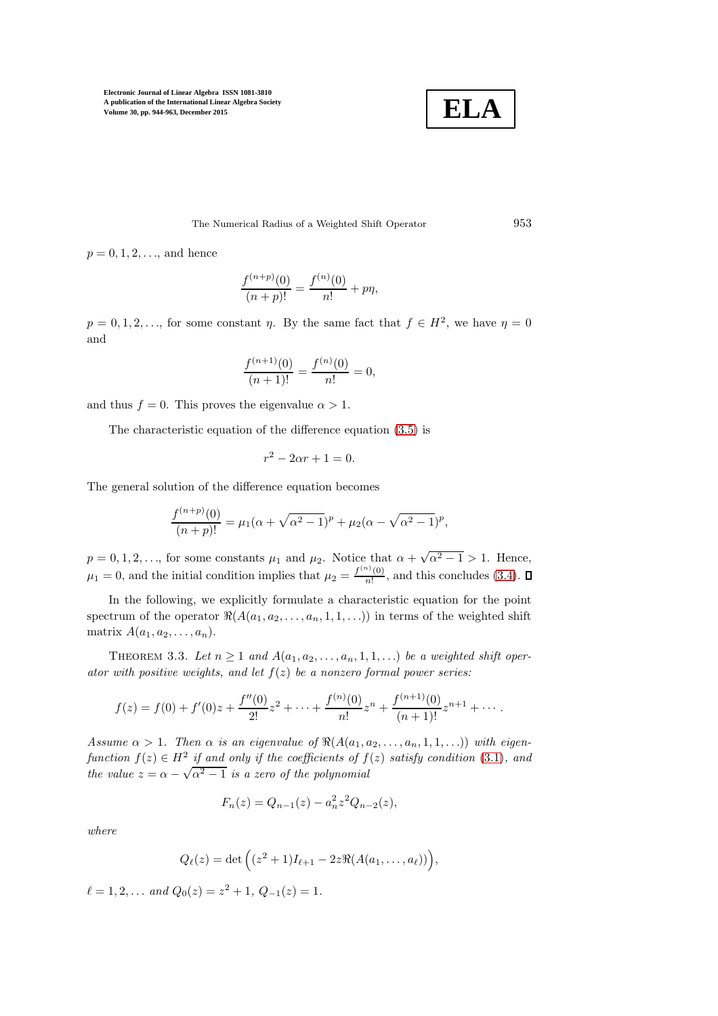

The Numerical Radius of a Weighted Shift Operator 953

 $p = 0, 1, 2, \ldots$ , and hence

$$
\frac{f^{(n+p)}(0)}{(n+p)!} = \frac{f^{(n)}(0)}{n!} + p\eta,
$$

 $p = 0, 1, 2, \ldots$ , for some constant  $\eta$ . By the same fact that  $f \in H^2$ , we have  $\eta = 0$ and

$$
\frac{f^{(n+1)}(0)}{(n+1)!} = \frac{f^{(n)}(0)}{n!} = 0,
$$

and thus  $f = 0$ . This proves the eigenvalue  $\alpha > 1$ .

The characteristic equation of the difference equation [\(3.5\)](#page-8-0) is

$$
r^2 - 2\alpha r + 1 = 0.
$$

The general solution of the difference equation becomes

$$
\frac{f^{(n+p)}(0)}{(n+p)!} = \mu_1(\alpha + \sqrt{\alpha^2 - 1})^p + \mu_2(\alpha - \sqrt{\alpha^2 - 1})^p,
$$

 $p = 0, 1, 2, \ldots$ , for some constants  $\mu_1$  and  $\mu_2$ . Notice that  $\alpha + \sqrt{\alpha^2 - 1} > 1$ . Hence,  $\mu_1 = 0$ , and the initial condition implies that  $\mu_2 = \frac{f^{(n)}(0)}{n!}$  $\frac{\partial (0)}{\partial n!}$ , and this concludes [\(3.4\)](#page-8-1).

In the following, we explicitly formulate a characteristic equation for the point spectrum of the operator  $\Re(A(a_1, a_2, \ldots, a_n, 1, 1, \ldots))$  in terms of the weighted shift matrix  $A(a_1, a_2, \ldots, a_n)$ .

<span id="page-9-0"></span>THEOREM 3.3. Let  $n \geq 1$  and  $A(a_1, a_2, \ldots, a_n, 1, 1, \ldots)$  be a weighted shift operator with positive weights, and let  $f(z)$  be a nonzero formal power series:

$$
f(z) = f(0) + f'(0)z + \frac{f''(0)}{2!}z^2 + \dots + \frac{f^{(n)}(0)}{n!}z^n + \frac{f^{(n+1)}(0)}{(n+1)!}z^{n+1} + \dots
$$

Assume  $\alpha > 1$ . Then  $\alpha$  is an eigenvalue of  $\Re(A(a_1, a_2, \ldots, a_n, 1, 1, \ldots))$  with eigenfunction  $f(z) \in H^2$  if and only if the coefficients of  $f(z)$  satisfy condition [\(3.1\)](#page-7-0), and the value  $z = \alpha - \sqrt{\alpha^2 - 1}$  is a zero of the polynomial

$$
F_n(z) = Q_{n-1}(z) - a_n^2 z^2 Q_{n-2}(z),
$$

where

$$
Q_{\ell}(z) = \det \left( (z^2 + 1)I_{\ell+1} - 2z \Re(A(a_1, \ldots, a_{\ell})) \right),
$$

 $\ell = 1, 2, \ldots$  and  $Q_0(z) = z^2 + 1, Q_{-1}(z) = 1.$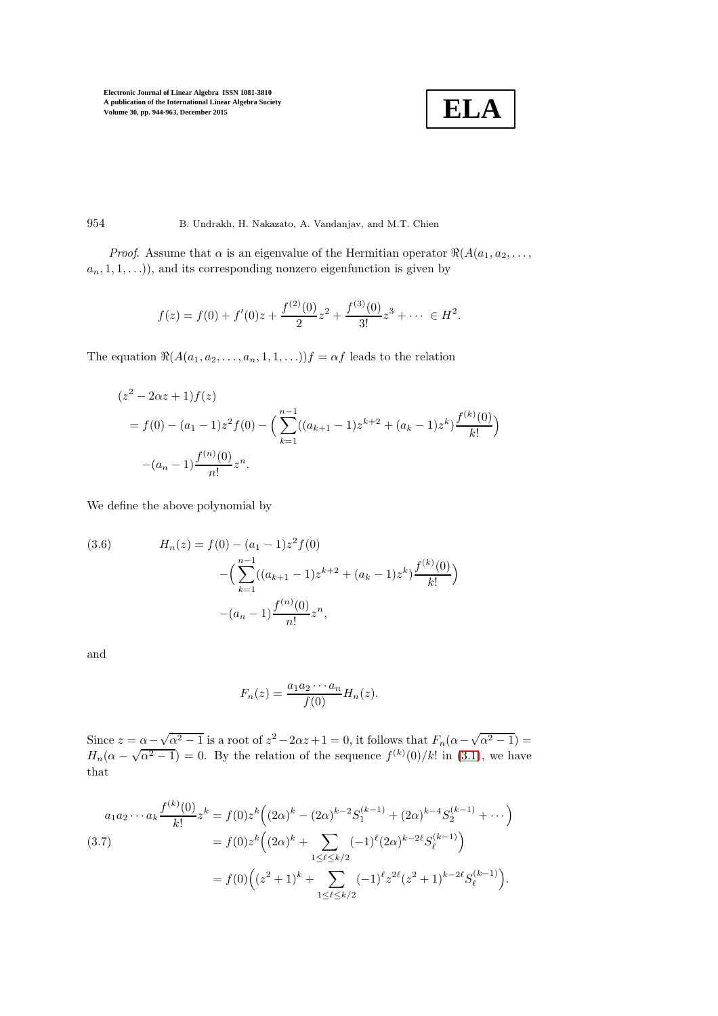$$
\boxed{\textbf{ELA}}
$$

954 B. Undrakh, H. Nakazato, A. Vandanjav, and M.T. Chien

*Proof.* Assume that  $\alpha$  is an eigenvalue of the Hermitian operator  $\Re(A(a_1, a_2, \ldots, a_n))$  $a_n, 1, 1, \ldots$ ), and its corresponding nonzero eigenfunction is given by

$$
f(z) = f(0) + f'(0)z + \frac{f^{(2)}(0)}{2}z^{2} + \frac{f^{(3)}(0)}{3!}z^{3} + \dots \in H^{2}.
$$

The equation  $\Re(A(a_1, a_2, \ldots, a_n, 1, 1, \ldots))f = \alpha f$  leads to the relation

$$
(z2 - 2\alpha z + 1) f(z)
$$
  
=  $f(0) - (a_1 - 1)z^2 f(0) - \left( \sum_{k=1}^{n-1} ((a_{k+1} - 1)z^{k+2} + (a_k - 1)z^k) \frac{f^{(k)}(0)}{k!} \right)$   
 $- (a_n - 1) \frac{f^{(n)}(0)}{n!} z^n.$ 

We define the above polynomial by

<span id="page-10-1"></span>(3.6) 
$$
H_n(z) = f(0) - (a_1 - 1)z^2 f(0)
$$

$$
- \Big( \sum_{k=1}^{n-1} ((a_{k+1} - 1)z^{k+2} + (a_k - 1)z^k) \frac{f^{(k)}(0)}{k!} \Big)
$$

$$
- (a_n - 1) \frac{f^{(n)}(0)}{n!} z^n,
$$

and

$$
F_n(z) = \frac{a_1 a_2 \cdots a_n}{f(0)} H_n(z).
$$

Since  $z = \alpha - \sqrt{\alpha^2 - 1}$  is a root of  $z^2 - 2\alpha z + 1 = 0$ , it follows that  $F_n(\alpha - \sqrt{\alpha^2 - 1}) =$  $H_n(\alpha - \sqrt{\alpha^2 - 1}) = 0$ . By the relation of the sequence  $f^{(k)}(0)/k!$  in [\(3.1\)](#page-7-0), we have that

<span id="page-10-0"></span>
$$
a_1 a_2 \cdots a_k \frac{f^{(k)}(0)}{k!} z^k = f(0) z^k \Big( (2\alpha)^k - (2\alpha)^{k-2} S_1^{(k-1)} + (2\alpha)^{k-4} S_2^{(k-1)} + \cdots \Big)
$$
  

$$
= f(0) z^k \Big( (2\alpha)^k + \sum_{1 \leq \ell \leq k/2} (-1)^{\ell} (2\alpha)^{k-2\ell} S_{\ell}^{(k-1)} \Big)
$$
  

$$
= f(0) \Big( (z^2 + 1)^k + \sum_{1 \leq \ell \leq k/2} (-1)^{\ell} z^{2\ell} (z^2 + 1)^{k-2\ell} S_{\ell}^{(k-1)} \Big).
$$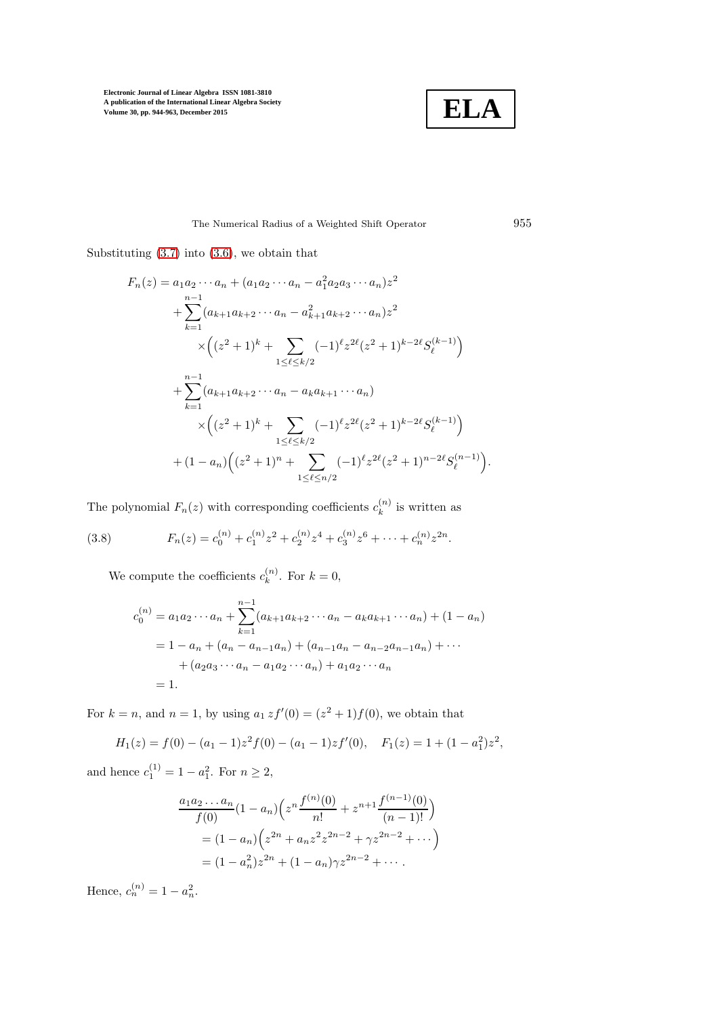

The Numerical Radius of a Weighted Shift Operator 955

Substituting [\(3.7\)](#page-10-0) into [\(3.6\)](#page-10-1), we obtain that

$$
F_n(z) = a_1 a_2 \cdots a_n + (a_1 a_2 \cdots a_n - a_1^2 a_2 a_3 \cdots a_n) z^2
$$
  
+ 
$$
\sum_{k=1}^{n-1} (a_{k+1} a_{k+2} \cdots a_n - a_{k+1}^2 a_{k+2} \cdots a_n) z^2
$$
  

$$
\times \left( (z^2 + 1)^k + \sum_{1 \le \ell \le k/2} (-1)^{\ell} z^{2\ell} (z^2 + 1)^{k-2\ell} S_{\ell}^{(k-1)} \right)
$$
  
+ 
$$
\sum_{k=1}^{n-1} (a_{k+1} a_{k+2} \cdots a_n - a_k a_{k+1} \cdots a_n)
$$
  

$$
\times \left( (z^2 + 1)^k + \sum_{1 \le \ell \le k/2} (-1)^{\ell} z^{2\ell} (z^2 + 1)^{k-2\ell} S_{\ell}^{(k-1)} \right)
$$
  
+ 
$$
(1 - a_n) \left( (z^2 + 1)^n + \sum_{1 \le \ell \le n/2} (-1)^{\ell} z^{2\ell} (z^2 + 1)^{n-2\ell} S_{\ell}^{(n-1)} \right)
$$

The polynomial  $F_n(z)$  with corresponding coefficients  $c_k^{(n)}$  $\binom{n}{k}$  is written as

(3.8) 
$$
F_n(z) = c_0^{(n)} + c_1^{(n)} z^2 + c_2^{(n)} z^4 + c_3^{(n)} z^6 + \dots + c_n^{(n)} z^{2n}.
$$

<span id="page-11-0"></span>We compute the coefficients  $c_k^{(n)}$  $k^{(n)}$ . For  $k = 0$ ,

$$
c_0^{(n)} = a_1 a_2 \cdots a_n + \sum_{k=1}^{n-1} (a_{k+1} a_{k+2} \cdots a_n - a_k a_{k+1} \cdots a_n) + (1 - a_n)
$$
  
= 1 - a\_n + (a\_n - a\_{n-1} a\_n) + (a\_{n-1} a\_n - a\_{n-2} a\_{n-1} a\_n) + \cdots  
+ (a\_2 a\_3 \cdots a\_n - a\_1 a\_2 \cdots a\_n) + a\_1 a\_2 \cdots a\_n  
= 1.

For  $k = n$ , and  $n = 1$ , by using  $a_1 z f'(0) = (z^2 + 1) f(0)$ , we obtain that

$$
H_1(z) = f(0) - (a_1 - 1)z^2 f(0) - (a_1 - 1)zf'(0), \quad F_1(z) = 1 + (1 - a_1^2)z^2,
$$

and hence  $c_1^{(1)} = 1 - a_1^2$ . For  $n \ge 2$ ,

$$
\frac{a_1 a_2 \dots a_n}{f(0)} (1 - a_n) \left( z^n \frac{f^{(n)}(0)}{n!} + z^{n+1} \frac{f^{(n-1)}(0)}{(n-1)!} \right)
$$
  
=  $(1 - a_n) \left( z^{2n} + a_n z^2 z^{2n-2} + \gamma z^{2n-2} + \cdots \right)$   
=  $(1 - a_n^2) z^{2n} + (1 - a_n) \gamma z^{2n-2} + \cdots$ 

Hence,  $c_n^{(n)} = 1 - a_n^2$ .

.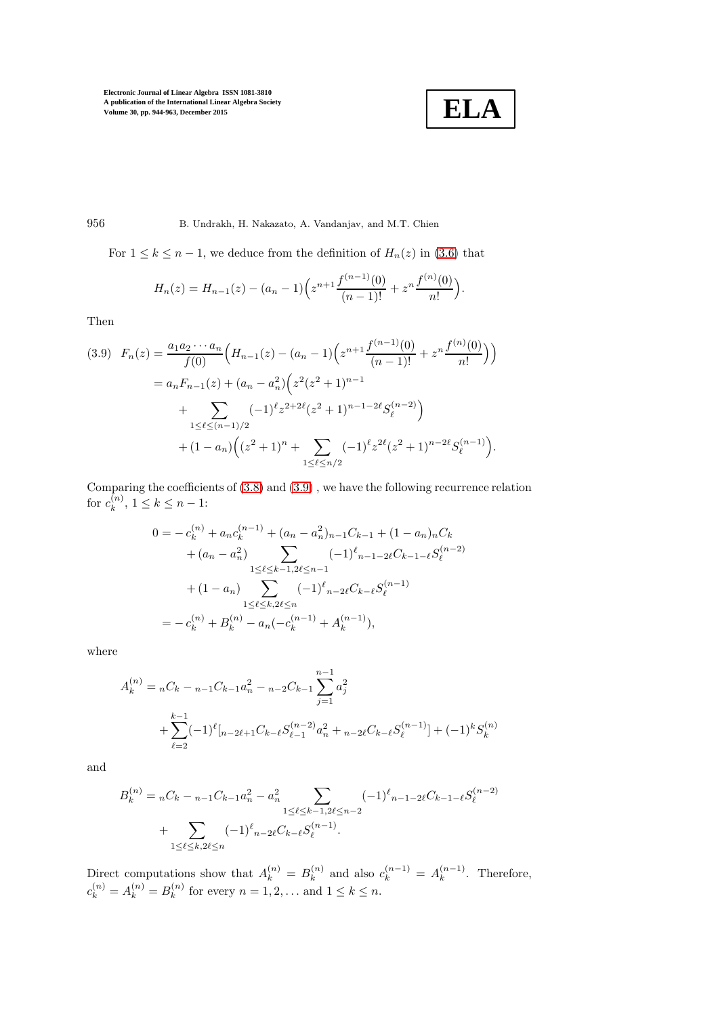**ELA**

## 956 B. Undrakh, H. Nakazato, A. Vandanjav, and M.T. Chien

For  $1 \leq k \leq n-1$ , we deduce from the definition of  $H_n(z)$  in [\(3.6\)](#page-10-1) that

$$
H_n(z) = H_{n-1}(z) - (a_n - 1) \left( z^{n+1} \frac{f^{(n-1)}(0)}{(n-1)!} + z^n \frac{f^{(n)}(0)}{n!} \right).
$$

Then

<span id="page-12-0"></span>
$$
(3.9) \quad F_n(z) = \frac{a_1 a_2 \cdots a_n}{f(0)} \Big( H_{n-1}(z) - (a_n - 1) \Big( z^{n+1} \frac{f^{(n-1)}(0)}{(n-1)!} + z^n \frac{f^{(n)}(0)}{n!} \Big) \Big)
$$
  

$$
= a_n F_{n-1}(z) + (a_n - a_n^2) \Big( z^2 (z^2 + 1)^{n-1} + \sum_{1 \le \ell \le (n-1)/2} (-1)^{\ell} z^{2+2\ell} (z^2 + 1)^{n-1-2\ell} S_{\ell}^{(n-2)} \Big)
$$
  

$$
+ (1 - a_n) \Big( (z^2 + 1)^n + \sum_{1 \le \ell \le n/2} (-1)^{\ell} z^{2\ell} (z^2 + 1)^{n-2\ell} S_{\ell}^{(n-1)} \Big).
$$

Comparing the coefficients of [\(3.8\)](#page-11-0) and [\(3.9\)](#page-12-0) , we have the following recurrence relation for  $c_k^{(n)}$  $\binom{n}{k}, 1 \leq k \leq n-1$ :

$$
0 = -c_k^{(n)} + a_n c_k^{(n-1)} + (a_n - a_n^2)_{n-1} C_{k-1} + (1 - a_n)_n C_k
$$
  
+  $(a_n - a_n^2) \sum_{1 \le \ell \le k-1, 2\ell \le n-1} (-1)^{\ell}{}_{n-1-2\ell} C_{k-1-\ell} S_{\ell}^{(n-2)}$   
+  $(1 - a_n) \sum_{1 \le \ell \le k, 2\ell \le n} (-1)^{\ell}{}_{n-2\ell} C_{k-\ell} S_{\ell}^{(n-1)}$   
=  $-c_k^{(n)} + B_k^{(n)} - a_n(-c_k^{(n-1)} + A_k^{(n-1)}),$ 

where

$$
A_k^{(n)} = {}_{n}C_k - {}_{n-1}C_{k-1}a_n^2 - {}_{n-2}C_{k-1}\sum_{j=1}^{n-1} a_j^2
$$
  
+ 
$$
\sum_{\ell=2}^{k-1} (-1)^{\ell} [{}_{n-2\ell+1}C_{k-\ell}S_{\ell-1}^{(n-2)}a_n^2 + {}_{n-2\ell}C_{k-\ell}S_{\ell}^{(n-1)}] + (-1)^k S_k^{(n)}
$$

and

$$
B_k^{(n)} = {}_{n}C_k - {}_{n-1}C_{k-1}a_n^2 - a_n^2 \sum_{1 \leq \ell \leq k-1, 2\ell \leq n-2} (-1)^{\ell} {}_{n-1-2\ell}C_{k-1-\ell}S_{\ell}^{(n-2)} + \sum_{1 \leq \ell \leq k, 2\ell \leq n} (-1)^{\ell} {}_{n-2\ell}C_{k-\ell}S_{\ell}^{(n-1)}.
$$

Direct computations show that  $A_k^{(n)} = B_k^{(n)}$  $\lambda_k^{(n)}$  and also  $c_k^{(n-1)} = A_k^{(n-1)}$  $\binom{n-1}{k}$ . Therefore,  $c_k^{(n)} = A_k^{(n)} = B_k^{(n)}$  $\binom{n}{k}$  for every  $n = 1, 2, \ldots$  and  $1 \leq k \leq n$ .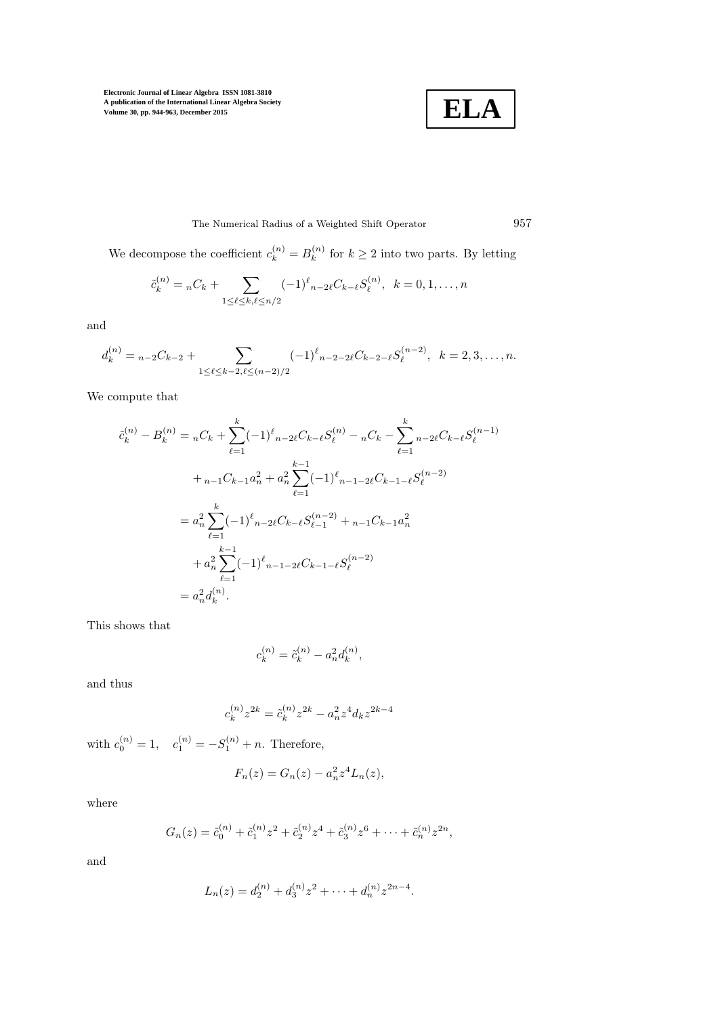

The Numerical Radius of a Weighted Shift Operator 957

We decompose the coefficient  $c_k^{(n)} = B_k^{(n)}$  $k^{(n)}$  for  $k \geq 2$  into two parts. By letting

$$
\tilde{c}_k^{(n)} = {}_{n}C_k + \sum_{1 \leq \ell \leq k, \ell \leq n/2} (-1)^{\ell} {}_{n-2\ell}C_{k-\ell}S_{\ell}^{(n)}, \quad k = 0, 1, \dots, n
$$

and

$$
d_k^{(n)} = {}_{n-2}C_{k-2} + \sum_{1 \leq \ell \leq k-2, \ell \leq (n-2)/2} (-1)^{\ell} {}_{n-2-2\ell}C_{k-2-\ell}S_{\ell}^{(n-2)}, \quad k = 2, 3, \ldots, n.
$$

We compute that

$$
\tilde{c}_{k}^{(n)} - B_{k}^{(n)} = {}_{n}C_{k} + \sum_{\ell=1}^{k} (-1)^{\ell} {}_{n-2\ell}C_{k-\ell}S_{\ell}^{(n)} - {}_{n}C_{k} - \sum_{\ell=1}^{k} {}_{n-2\ell}C_{k-\ell}S_{\ell}^{(n-1)}
$$

$$
+ {}_{n-1}C_{k-1}a_{n}^{2} + a_{n}^{2} \sum_{\ell=1}^{k-1} (-1)^{\ell} {}_{n-1-2\ell}C_{k-1-\ell}S_{\ell}^{(n-2)}
$$

$$
= a_{n}^{2} \sum_{\ell=1}^{k} (-1)^{\ell} {}_{n-2\ell}C_{k-\ell}S_{\ell-1}^{(n-2)} + {}_{n-1}C_{k-1}a_{n}^{2}
$$

$$
+ a_{n}^{2} \sum_{\ell=1}^{k-1} (-1)^{\ell} {}_{n-1-2\ell}C_{k-1-\ell}S_{\ell}^{(n-2)}
$$

$$
= a_{n}^{2}d_{k}^{(n)}.
$$

This shows that

$$
c_k^{(n)} = \tilde{c}_k^{(n)} - a_n^2 d_k^{(n)},
$$

and thus

$$
c_k^{(n)} z^{2k} = \tilde{c}_k^{(n)} z^{2k} - a_n^2 z^4 d_k z^{2k-4}
$$

with  $c_0^{(n)} = 1$ ,  $c_1^{(n)} = -S_1^{(n)} + n$ . Therefore,

$$
F_n(z) = G_n(z) - a_n^2 z^4 L_n(z),
$$

where

$$
G_n(z) = \tilde{c}_0^{(n)} + \tilde{c}_1^{(n)} z^2 + \tilde{c}_2^{(n)} z^4 + \tilde{c}_3^{(n)} z^6 + \dots + \tilde{c}_n^{(n)} z^{2n},
$$

and

$$
L_n(z) = d_2^{(n)} + d_3^{(n)} z^2 + \dots + d_n^{(n)} z^{2n-4}.
$$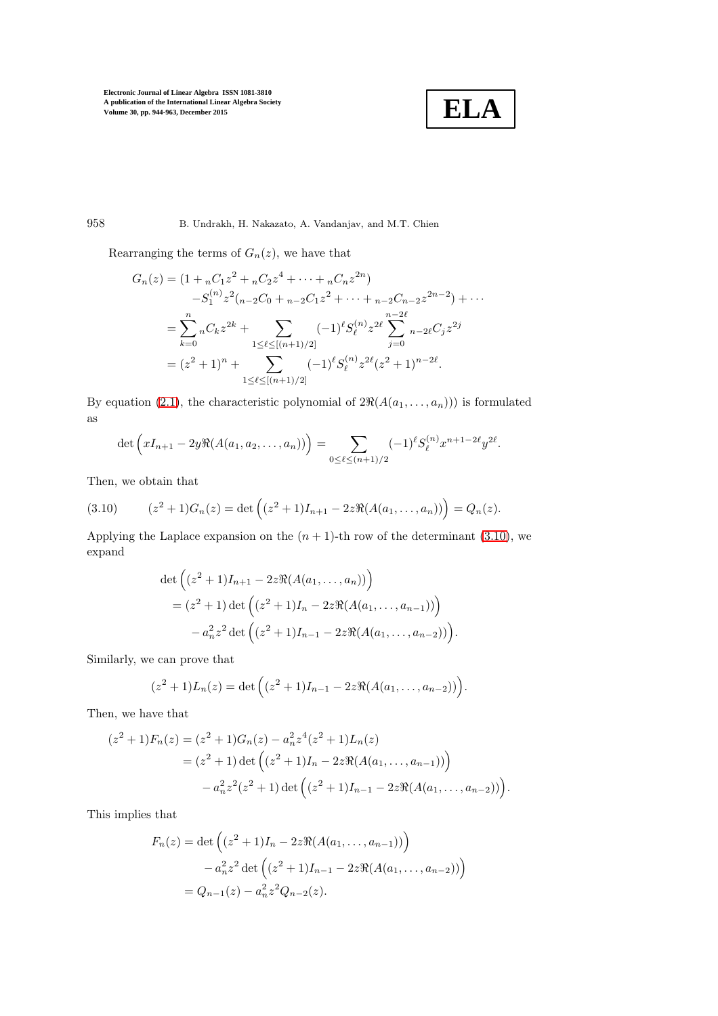

958 B. Undrakh, H. Nakazato, A. Vandanjav, and M.T. Chien

Rearranging the terms of  $G_n(z)$ , we have that

$$
G_n(z) = (1 + {}_nC_1z^2 + {}_nC_2z^4 + \dots + {}_nC_nz^{2n})
$$
  
\n
$$
-S_1^{(n)}z^2({}_{n-2}C_0 + {}_{n-2}C_1z^2 + \dots + {}_{n-2}C_{n-2}z^{2n-2}) + \dots
$$
  
\n
$$
= \sum_{k=0}^n {}_nC_kz^{2k} + \sum_{1 \leq \ell \leq \lfloor (n+1)/2 \rfloor} (-1)^{\ell}S_{\ell}^{(n)}z^{2\ell} \sum_{j=0}^{n-2\ell} {}_{n-2\ell}C_jz^{2j}
$$
  
\n
$$
= (z^2 + 1)^n + \sum_{1 \leq \ell \leq \lfloor (n+1)/2 \rfloor} (-1)^{\ell}S_{\ell}^{(n)}z^{2\ell}(z^2 + 1)^{n-2\ell}.
$$

By equation [\(2.1\)](#page-3-4), the characteristic polynomial of  $2\Re(A(a_1, \ldots, a_n))$  is formulated as

$$
\det \left( xI_{n+1} - 2y \Re(A(a_1, a_2, \dots, a_n)) \right) = \sum_{0 \leq \ell \leq (n+1)/2} (-1)^{\ell} S_{\ell}^{(n)} x^{n+1-2\ell} y^{2\ell}.
$$

Then, we obtain that

<span id="page-14-0"></span>(3.10) 
$$
(z^2 + 1)G_n(z) = \det \left( (z^2 + 1)I_{n+1} - 2z \Re(A(a_1, ..., a_n)) \right) = Q_n(z).
$$

Applying the Laplace expansion on the  $(n + 1)$ -th row of the determinant [\(3.10\)](#page-14-0), we expand

$$
\det \left( (z^2 + 1)I_{n+1} - 2z \Re(A(a_1, ..., a_n)) \right)
$$
  
=  $(z^2 + 1) \det \left( (z^2 + 1)I_n - 2z \Re(A(a_1, ..., a_{n-1})) \right)$   
 $- a_n^2 z^2 \det \left( (z^2 + 1)I_{n-1} - 2z \Re(A(a_1, ..., a_{n-2})) \right).$ 

Similarly, we can prove that

$$
(z2 + 1)Ln(z) = det ((z2 + 1)Ln-1 - 2zR(A(a1,..., an-2)))
$$

Then, we have that

$$
(z2 + 1)Fn(z) = (z2 + 1)Gn(z) - an2z4(z2 + 1)Ln(z)
$$
  
= (z<sup>2</sup> + 1) det ((z<sup>2</sup> + 1)I<sub>n</sub> - 2z $\Re$ (A(a<sub>1</sub>,..., a<sub>n-1</sub>))  
- a<sub>n</sub><sup>2</sup>z<sup>2</sup>(z<sup>2</sup> + 1) det ((z<sup>2</sup> + 1)I<sub>n-1</sub> - 2z $\Re$ (A(a<sub>1</sub>,..., a<sub>n-2</sub>))).

This implies that

$$
F_n(z) = \det \left( (z^2 + 1)I_n - 2z \Re(A(a_1, ..., a_{n-1})) \right)
$$

$$
- a_n^2 z^2 \det \left( (z^2 + 1)I_{n-1} - 2z \Re(A(a_1, ..., a_{n-2})) \right)
$$

$$
= Q_{n-1}(z) - a_n^2 z^2 Q_{n-2}(z).
$$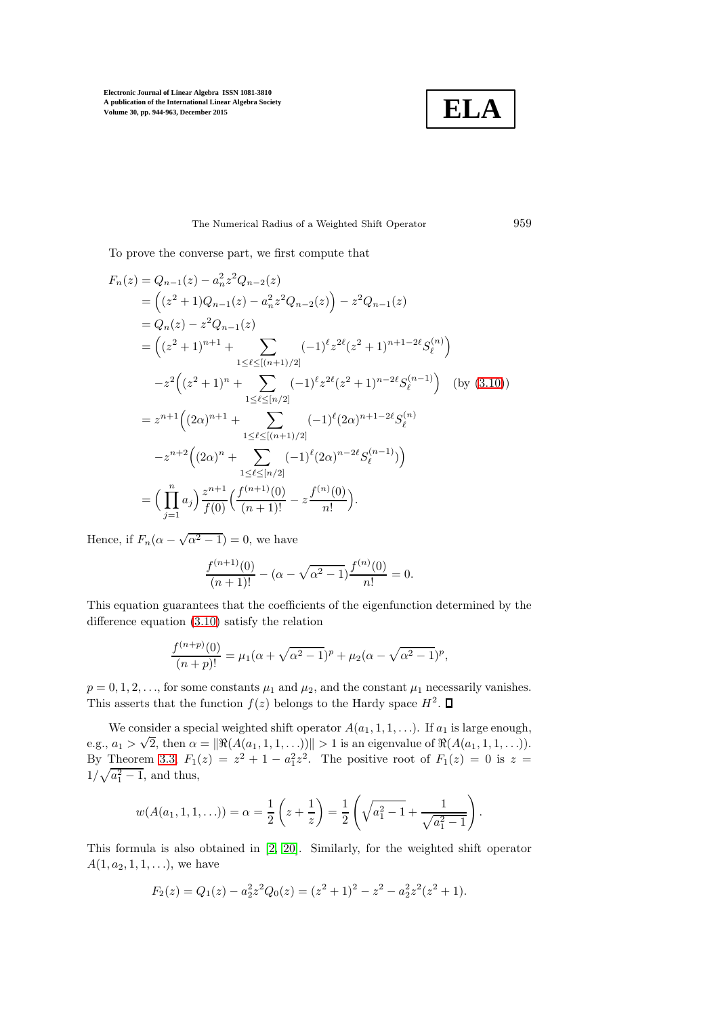

### The Numerical Radius of a Weighted Shift Operator 959

To prove the converse part, we first compute that

$$
F_n(z) = Q_{n-1}(z) - a_n^2 z^2 Q_{n-2}(z)
$$
  
=  $\left( (z^2 + 1)Q_{n-1}(z) - a_n^2 z^2 Q_{n-2}(z) \right) - z^2 Q_{n-1}(z)$   
=  $Q_n(z) - z^2 Q_{n-1}(z)$   
=  $\left( (z^2 + 1)^{n+1} + \sum_{1 \le \ell \le \lfloor (n+1)/2 \rfloor} (-1)^{\ell} z^{2\ell} (z^2 + 1)^{n+1-2\ell} S_{\ell}^{(n)} \right)$   
 $- z^2 \left( (z^2 + 1)^n + \sum_{1 \le \ell \le \lfloor n/2 \rfloor} (-1)^{\ell} z^{2\ell} (z^2 + 1)^{n-2\ell} S_{\ell}^{(n-1)} \right)$  (by (3.10))  
=  $z^{n+1} \left( (2\alpha)^{n+1} + \sum_{1 \le \ell \le \lfloor (n+1)/2 \rfloor} (-1)^{\ell} (2\alpha)^{n+1-2\ell} S_{\ell}^{(n)} \right)$   
 $- z^{n+2} \left( (2\alpha)^n + \sum_{1 \le \ell \le \lfloor n/2 \rfloor} (-1)^{\ell} (2\alpha)^{n-2\ell} S_{\ell}^{(n-1)} \right)$   
=  $\left( \prod_{j=1}^n a_j \right) \frac{z^{n+1}}{f(0)} \left( \frac{f^{(n+1)}(0)}{(n+1)!} - z \frac{f^{(n)}(0)}{n!} \right).$ 

Hence, if  $F_n(\alpha - \sqrt{\alpha^2 - 1}) = 0$ , we have

$$
\frac{f^{(n+1)}(0)}{(n+1)!} - (\alpha - \sqrt{\alpha^2 - 1}) \frac{f^{(n)}(0)}{n!} = 0.
$$

This equation guarantees that the coefficients of the eigenfunction determined by the difference equation [\(3.10\)](#page-14-0) satisfy the relation

$$
\frac{f^{(n+p)}(0)}{(n+p)!} = \mu_1(\alpha + \sqrt{\alpha^2 - 1})^p + \mu_2(\alpha - \sqrt{\alpha^2 - 1})^p,
$$

 $p = 0, 1, 2, \ldots$ , for some constants  $\mu_1$  and  $\mu_2$ , and the constant  $\mu_1$  necessarily vanishes. This asserts that the function  $f(z)$  belongs to the Hardy space  $H^2$ .

We consider a special weighted shift operator  $A(a_1, 1, 1, \ldots)$ . If  $a_1$  is large enough, e.g.,  $a_1 > \sqrt{2}$ , then  $\alpha = ||\Re(A(a_1, 1, 1, \ldots))]|| > 1$  is an eigenvalue of  $\Re(A(a_1, 1, 1, \ldots)).$ By Theorem [3.3,](#page-9-0)  $F_1(z) = z^2 + 1 - a_1^2 z^2$ . The positive root of  $F_1(z) = 0$  is  $z =$  $1/\sqrt{a_1^2-1}$ , and thus,

$$
w(A(a_1, 1, 1, \ldots)) = \alpha = \frac{1}{2} \left( z + \frac{1}{z} \right) = \frac{1}{2} \left( \sqrt{a_1^2 - 1} + \frac{1}{\sqrt{a_1^2 - 1}} \right).
$$

This formula is also obtained in [\[2,](#page-18-4) [20\]](#page-19-2). Similarly, for the weighted shift operator  $A(1, a_2, 1, 1, \ldots)$ , we have

$$
F_2(z) = Q_1(z) - a_2^2 z^2 Q_0(z) = (z^2 + 1)^2 - z^2 - a_2^2 z^2 (z^2 + 1).
$$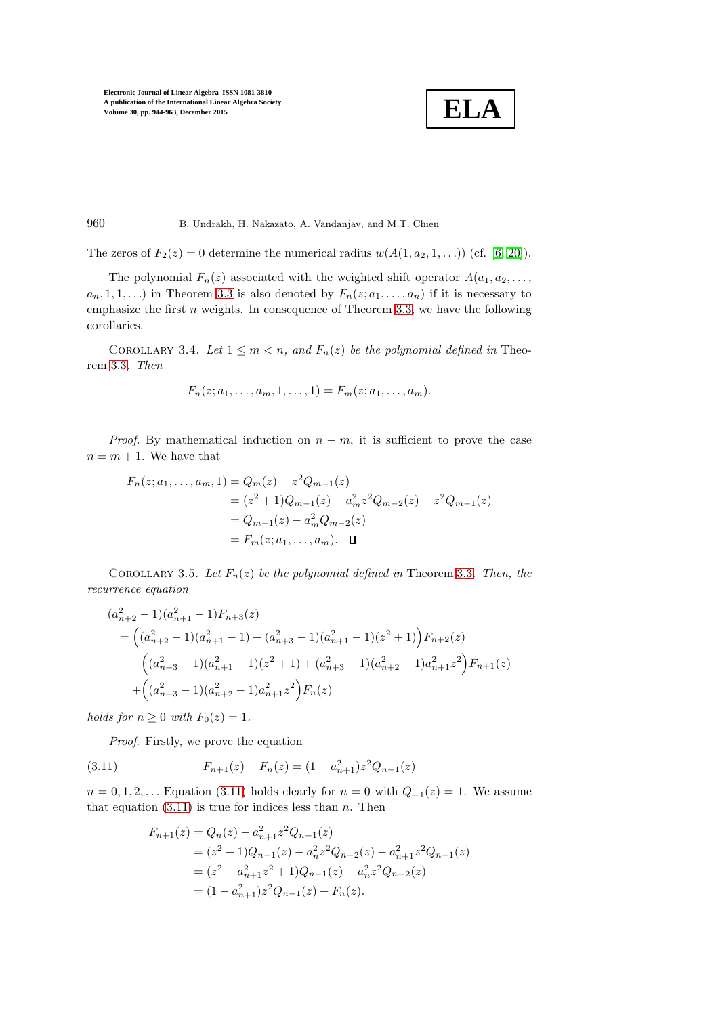$$
\boxed{\textbf{ELA}}
$$

960 B. Undrakh, H. Nakazato, A. Vandanjav, and M.T. Chien

The zeros of  $F_2(z) = 0$  determine the numerical radius  $w(A(1, a_2, 1, \ldots))$  (cf. [\[6,](#page-18-10) [20\]](#page-19-2)).

The polynomial  $F_n(z)$  associated with the weighted shift operator  $A(a_1, a_2, \ldots, a_n)$  $a_n, 1, 1, \ldots$ ) in Theorem [3.3](#page-9-0) is also denoted by  $F_n(z; a_1, \ldots, a_n)$  if it is necessary to emphasize the first  $n$  weights. In consequence of Theorem [3.3,](#page-9-0) we have the following corollaries.

COROLLARY 3.4. Let  $1 \leq m < n$ , and  $F_n(z)$  be the polynomial defined in Theorem [3.3](#page-9-0). Then

$$
F_n(z; a_1, \ldots, a_m, 1, \ldots, 1) = F_m(z; a_1, \ldots, a_m).
$$

*Proof.* By mathematical induction on  $n - m$ , it is sufficient to prove the case  $n = m + 1$ . We have that

$$
F_n(z; a_1, \dots, a_m, 1) = Q_m(z) - z^2 Q_{m-1}(z)
$$
  
=  $(z^2 + 1)Q_{m-1}(z) - a_m^2 z^2 Q_{m-2}(z) - z^2 Q_{m-1}(z)$   
=  $Q_{m-1}(z) - a_m^2 Q_{m-2}(z)$   
=  $F_m(z; a_1, \dots, a_m)$ .  $\Box$ 

COROLLARY 3.5. Let  $F_n(z)$  be the polynomial defined in Theorem [3.3](#page-9-0). Then, the recurrence equation

$$
(a_{n+2}^2 - 1)(a_{n+1}^2 - 1)F_{n+3}(z)
$$
  
=  $((a_{n+2}^2 - 1)(a_{n+1}^2 - 1) + (a_{n+3}^2 - 1)(a_{n+1}^2 - 1)(z^2 + 1))F_{n+2}(z)$   
 $- ((a_{n+3}^2 - 1)(a_{n+1}^2 - 1)(z^2 + 1) + (a_{n+3}^2 - 1)(a_{n+2}^2 - 1)a_{n+1}^2 z^2)F_{n+1}(z)$   
 $+ ((a_{n+3}^2 - 1)(a_{n+2}^2 - 1)a_{n+1}^2 z^2)F_n(z)$ 

holds for  $n \geq 0$  with  $F_0(z) = 1$ .

Proof. Firstly, we prove the equation

(3.11) 
$$
F_{n+1}(z) - F_n(z) = (1 - a_{n+1}^2)z^2 Q_{n-1}(z)
$$

 $n = 0, 1, 2, \ldots$  Equation [\(3.11\)](#page-16-0) holds clearly for  $n = 0$  with  $Q_{-1}(z) = 1$ . We assume that equation  $(3.11)$  is true for indices less than n. Then

<span id="page-16-0"></span>
$$
F_{n+1}(z) = Q_n(z) - a_{n+1}^2 z^2 Q_{n-1}(z)
$$
  
=  $(z^2 + 1)Q_{n-1}(z) - a_n^2 z^2 Q_{n-2}(z) - a_{n+1}^2 z^2 Q_{n-1}(z)$   
=  $(z^2 - a_{n+1}^2 z^2 + 1)Q_{n-1}(z) - a_n^2 z^2 Q_{n-2}(z)$   
=  $(1 - a_{n+1}^2) z^2 Q_{n-1}(z) + F_n(z).$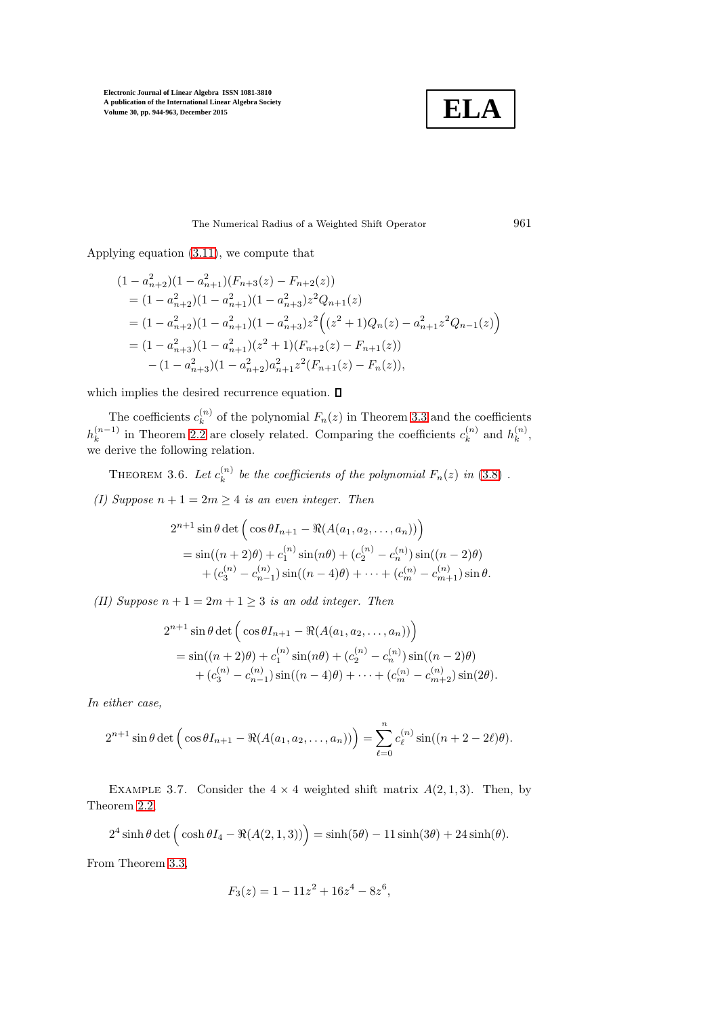

The Numerical Radius of a Weighted Shift Operator 961

Applying equation [\(3.11\)](#page-16-0), we compute that

$$
(1 - a_{n+2}^2)(1 - a_{n+1}^2)(F_{n+3}(z) - F_{n+2}(z))
$$
  
=  $(1 - a_{n+2}^2)(1 - a_{n+1}^2)(1 - a_{n+3}^2)z^2Q_{n+1}(z)$   
=  $(1 - a_{n+2}^2)(1 - a_{n+1}^2)(1 - a_{n+3}^2)z^2((z^2 + 1)Q_n(z) - a_{n+1}^2z^2Q_{n-1}(z))$   
=  $(1 - a_{n+3}^2)(1 - a_{n+1}^2)(z^2 + 1)(F_{n+2}(z) - F_{n+1}(z))$   
-  $(1 - a_{n+3}^2)(1 - a_{n+2}^2)a_{n+1}^2z^2(F_{n+1}(z) - F_n(z)),$ 

which implies the desired recurrence equation.  $\square$ 

The coefficients  $c_k^{(n)}$  $k^{(n)}$  of the polynomial  $F_n(z)$  in Theorem [3.3](#page-9-0) and the coefficients  $h_k^{(n-1)}$  $\binom{n-1}{k}$  in Theorem [2.2](#page-5-0) are closely related. Comparing the coefficients  $c_k^{(n)}$  $\binom{n}{k}$  and  $h_k^{(n)}$  $\binom{n}{k}$ we derive the following relation.

THEOREM 3.6. Let  $c_k^{(n)}$  $\mathcal{E}_k^{(n)}$  be the coefficients of the polynomial  $F_n(z)$  in  $(3.8)$  .

(I) Suppose  $n + 1 = 2m \geq 4$  is an even integer. Then

$$
2^{n+1} \sin \theta \det \left( \cos \theta I_{n+1} - \Re(A(a_1, a_2, \dots, a_n)) \right)
$$
  
=  $\sin((n+2)\theta) + c_1^{(n)} \sin(n\theta) + (c_2^{(n)} - c_n^{(n)}) \sin((n-2)\theta)$   
+  $(c_3^{(n)} - c_{n-1}^{(n)}) \sin((n-4)\theta) + \dots + (c_m^{(n)} - c_{m+1}^{(n)}) \sin \theta.$ 

(II) Suppose  $n + 1 = 2m + 1 \geq 3$  is an odd integer. Then

$$
2^{n+1} \sin \theta \det \left( \cos \theta I_{n+1} - \Re(A(a_1, a_2, ..., a_n)) \right)
$$
  
=  $\sin((n+2)\theta) + c_1^{(n)} \sin(n\theta) + (c_2^{(n)} - c_n^{(n)}) \sin((n-2)\theta)$   
+  $(c_3^{(n)} - c_{n-1}^{(n)}) \sin((n-4)\theta) + \cdots + (c_m^{(n)} - c_{m+2}^{(n)}) \sin(2\theta).$ 

In either case,

$$
2^{n+1}\sin\theta \det\Big(\cos\theta I_{n+1} - \Re(A(a_1, a_2, \dots, a_n))\Big) = \sum_{\ell=0}^n c_{\ell}^{(n)} \sin((n+2-2\ell)\theta).
$$

EXAMPLE 3.7. Consider the  $4 \times 4$  weighted shift matrix  $A(2,1,3)$ . Then, by Theorem [2.2,](#page-5-0)

$$
2^4 \sinh \theta \det \Big( \cosh \theta I_4 - \Re(A(2,1,3)) \Big) = \sinh(5\theta) - 11 \sinh(3\theta) + 24 \sinh(\theta).
$$

From Theorem [3.3,](#page-9-0)

$$
F_3(z) = 1 - 11z^2 + 16z^4 - 8z^6,
$$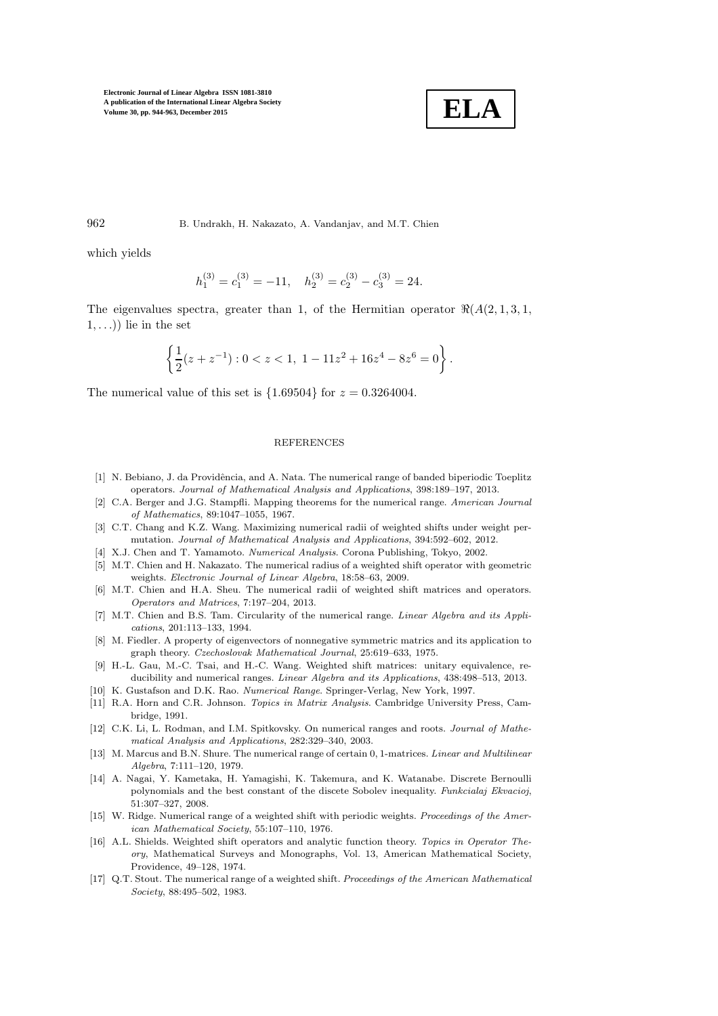

962 B. Undrakh, H. Nakazato, A. Vandanjav, and M.T. Chien

which yields

$$
h_1^{(3)}=c_1^{(3)}=-11,\quad h_2^{(3)}=c_2^{(3)}-c_3^{(3)}=24.
$$

The eigenvalues spectra, greater than 1, of the Hermitian operator  $\Re(A(2,1,3,1,$  $(1, \ldots)$ ) lie in the set

$$
\left\{\frac{1}{2}(z+z^{-1}): 0 < z < 1, \ 1 - 11z^2 + 16z^4 - 8z^6 = 0\right\}.
$$

The numerical value of this set is  $\{1.69504\}$  for  $z = 0.3264004$ .

#### **REFERENCES**

- <span id="page-18-0"></span>[1] N. Bebiano, J. da Providência, and A. Nata. The numerical range of banded biperiodic Toeplitz operators. Journal of Mathematical Analysis and Applications, 398:189–197, 2013.
- <span id="page-18-4"></span>[2] C.A. Berger and J.G. Stampfli. Mapping theorems for the numerical range. American Journal of Mathematics, 89:1047–1055, 1967.
- <span id="page-18-12"></span>[3] C.T. Chang and K.Z. Wang. Maximizing numerical radii of weighted shifts under weight permutation. Journal of Mathematical Analysis and Applications, 394:592–602, 2012.
- <span id="page-18-9"></span><span id="page-18-6"></span>[4] X.J. Chen and T. Yamamoto. Numerical Analysis. Corona Publishing, Tokyo, 2002.
- [5] M.T. Chien and H. Nakazato. The numerical radius of a weighted shift operator with geometric weights. Electronic Journal of Linear Algebra, 18:58–63, 2009.
- <span id="page-18-10"></span>[6] M.T. Chien and H.A. Sheu. The numerical radii of weighted shift matrices and operators. Operators and Matrices, 7:197–204, 2013.
- <span id="page-18-13"></span>[7] M.T. Chien and B.S. Tam. Circularity of the numerical range. *Linear Algebra and its Appli*cations, 201:113–133, 1994.
- <span id="page-18-5"></span>[8] M. Fiedler. A property of eigenvectors of nonnegative symmetric matrics and its application to graph theory. Czechoslovak Mathematical Journal, 25:619–633, 1975.
- <span id="page-18-14"></span>[9] H.-L. Gau, M.-C. Tsai, and H.-C. Wang. Weighted shift matrices: unitary equivalence, reducibility and numerical ranges. Linear Algebra and its Applications, 438:498–513, 2013.
- <span id="page-18-2"></span><span id="page-18-1"></span>[10] K. Gustafson and D.K. Rao. Numerical Range. Springer-Verlag, New York, 1997.
- [11] R.A. Horn and C.R. Johnson. Topics in Matrix Analysis. Cambridge University Press, Cambridge, 1991.
- <span id="page-18-3"></span>[12] C.K. Li, L. Rodman, and I.M. Spitkovsky. On numerical ranges and roots. Journal of Mathematical Analysis and Applications, 282:329–340, 2003.
- <span id="page-18-15"></span>[13] M. Marcus and B.N. Shure. The numerical range of certain 0, 1-matrices. Linear and Multilinear Algebra, 7:111–120, 1979.
- <span id="page-18-16"></span>[14] A. Nagai, Y. Kametaka, H. Yamagishi, K. Takemura, and K. Watanabe. Discrete Bernoulli polynomials and the best constant of the discete Sobolev inequality. Funkcialaj Ekvacioj, 51:307–327, 2008.
- <span id="page-18-8"></span>[15] W. Ridge. Numerical range of a weighted shift with periodic weights. *Proceedings of the Amer*ican Mathematical Society, 55:107–110, 1976.
- <span id="page-18-7"></span>[16] A.L. Shields. Weighted shift operators and analytic function theory. Topics in Operator Theory, Mathematical Surveys and Monographs, Vol. 13, American Mathematical Society, Providence, 49–128, 1974.
- <span id="page-18-11"></span>[17] Q.T. Stout. The numerical range of a weighted shift. Proceedings of the American Mathematical Society, 88:495–502, 1983.